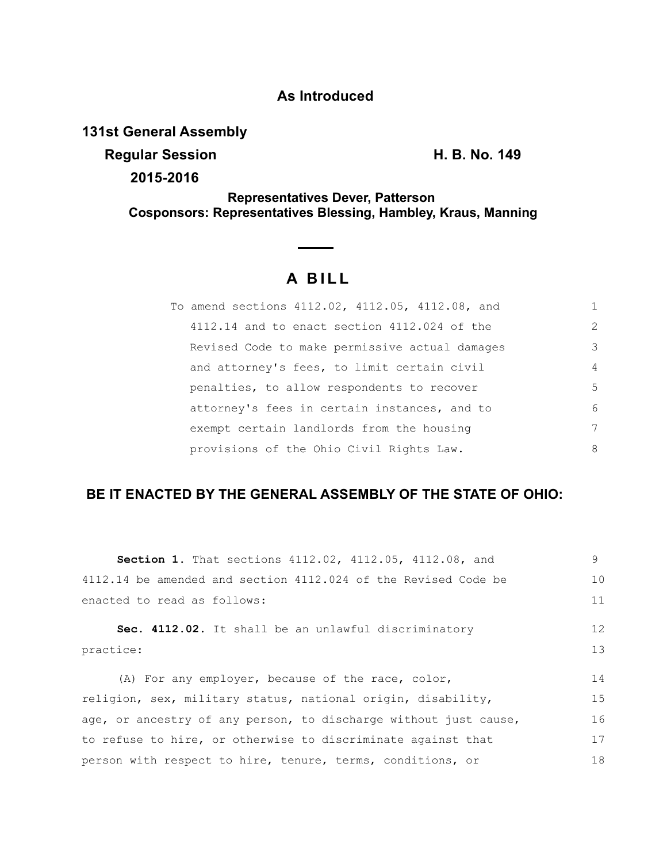## **As Introduced**

**131st General Assembly**

**Regular Session H. B. No. 149** 

**2015-2016**

**Representatives Dever, Patterson Cosponsors: Representatives Blessing, Hambley, Kraus, Manning**

# **A B I L L**

| To amend sections 4112.02, 4112.05, 4112.08, and |                |
|--------------------------------------------------|----------------|
| 4112.14 and to enact section 4112.024 of the     | $\mathcal{L}$  |
| Revised Code to make permissive actual damages   | 3              |
| and attorney's fees, to limit certain civil      | $\overline{4}$ |
| penalties, to allow respondents to recover       | .5             |
| attorney's fees in certain instances, and to     | 6              |
| exempt certain landlords from the housing        | 7              |
| provisions of the Ohio Civil Rights Law.         | 8              |

### **BE IT ENACTED BY THE GENERAL ASSEMBLY OF THE STATE OF OHIO:**

| <b>Section 1.</b> That sections 4112.02, 4112.05, 4112.08, and   | 9  |
|------------------------------------------------------------------|----|
| 4112.14 be amended and section 4112.024 of the Revised Code be   | 10 |
| enacted to read as follows:                                      | 11 |
| Sec. 4112.02. It shall be an unlawful discriminatory             | 12 |
| practice:                                                        | 13 |
| (A) For any employer, because of the race, color,                | 14 |
| religion, sex, military status, national origin, disability,     | 15 |
| age, or ancestry of any person, to discharge without just cause, | 16 |
| to refuse to hire, or otherwise to discriminate against that     | 17 |
| person with respect to hire, tenure, terms, conditions, or       | 18 |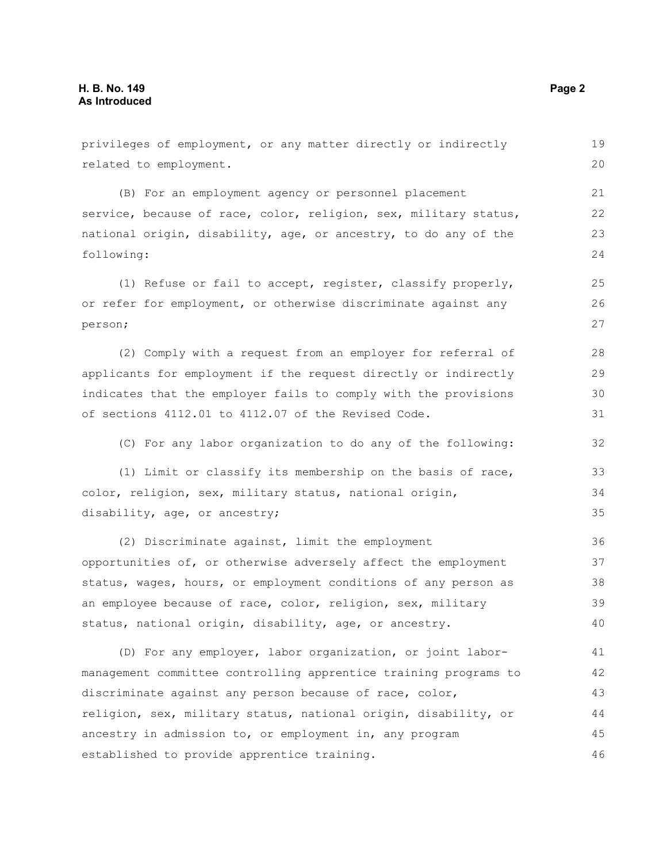privileges of employment, or any matter directly or indirectly related to employment. (B) For an employment agency or personnel placement service, because of race, color, religion, sex, military status, national origin, disability, age, or ancestry, to do any of the following: (1) Refuse or fail to accept, register, classify properly, or refer for employment, or otherwise discriminate against any person; (2) Comply with a request from an employer for referral of applicants for employment if the request directly or indirectly indicates that the employer fails to comply with the provisions of sections 4112.01 to 4112.07 of the Revised Code. (C) For any labor organization to do any of the following: (1) Limit or classify its membership on the basis of race, color, religion, sex, military status, national origin, disability, age, or ancestry; (2) Discriminate against, limit the employment opportunities of, or otherwise adversely affect the employment status, wages, hours, or employment conditions of any person as an employee because of race, color, religion, sex, military status, national origin, disability, age, or ancestry. (D) For any employer, labor organization, or joint labormanagement committee controlling apprentice training programs to discriminate against any person because of race, color, religion, sex, military status, national origin, disability, or ancestry in admission to, or employment in, any program 19 20 21 22 23 24 25 26 27 28 29 30 31 32 33 34 35 36 37 38 39 40 41 42 43 44 45

established to provide apprentice training.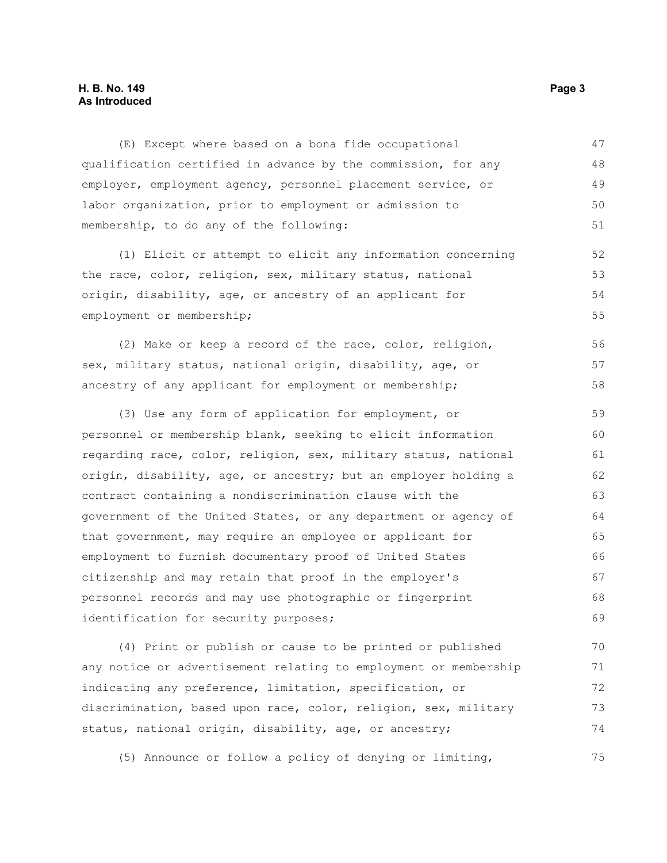#### **H. B. No. 149 Page 3 As Introduced**

(E) Except where based on a bona fide occupational qualification certified in advance by the commission, for any employer, employment agency, personnel placement service, or labor organization, prior to employment or admission to membership, to do any of the following: 47 48 49 50 51

(1) Elicit or attempt to elicit any information concerning the race, color, religion, sex, military status, national origin, disability, age, or ancestry of an applicant for employment or membership;

(2) Make or keep a record of the race, color, religion, sex, military status, national origin, disability, age, or ancestry of any applicant for employment or membership; 56 57 58

(3) Use any form of application for employment, or personnel or membership blank, seeking to elicit information regarding race, color, religion, sex, military status, national origin, disability, age, or ancestry; but an employer holding a contract containing a nondiscrimination clause with the government of the United States, or any department or agency of that government, may require an employee or applicant for employment to furnish documentary proof of United States citizenship and may retain that proof in the employer's personnel records and may use photographic or fingerprint identification for security purposes; 59 60 61 62 63 64 65 66 67 68 69

(4) Print or publish or cause to be printed or published any notice or advertisement relating to employment or membership indicating any preference, limitation, specification, or discrimination, based upon race, color, religion, sex, military status, national origin, disability, age, or ancestry; 70 71 72 73 74

(5) Announce or follow a policy of denying or limiting,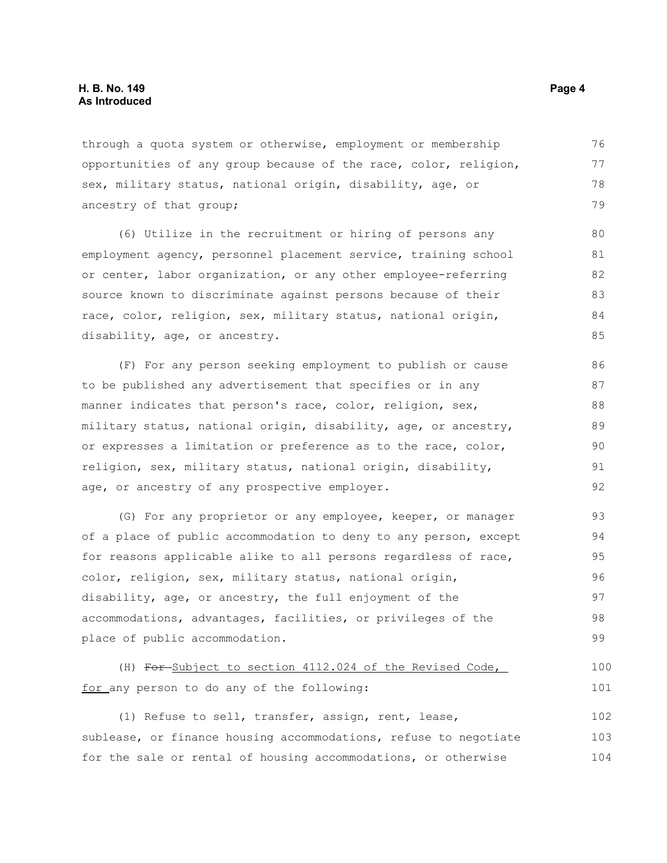through a quota system or otherwise, employment or membership opportunities of any group because of the race, color, religion, sex, military status, national origin, disability, age, or ancestry of that group; 76 77 78 79

(6) Utilize in the recruitment or hiring of persons any employment agency, personnel placement service, training school or center, labor organization, or any other employee-referring source known to discriminate against persons because of their race, color, religion, sex, military status, national origin, disability, age, or ancestry.

(F) For any person seeking employment to publish or cause to be published any advertisement that specifies or in any manner indicates that person's race, color, religion, sex, military status, national origin, disability, age, or ancestry, or expresses a limitation or preference as to the race, color, religion, sex, military status, national origin, disability, age, or ancestry of any prospective employer. 86 87 88 89 90 91 92

(G) For any proprietor or any employee, keeper, or manager of a place of public accommodation to deny to any person, except for reasons applicable alike to all persons regardless of race, color, religion, sex, military status, national origin, disability, age, or ancestry, the full enjoyment of the accommodations, advantages, facilities, or privileges of the place of public accommodation. 93 94 95 96 97 98 99

(H) For-Subject to section 4112.024 of the Revised Code, for any person to do any of the following: 100 101

(1) Refuse to sell, transfer, assign, rent, lease, sublease, or finance housing accommodations, refuse to negotiate for the sale or rental of housing accommodations, or otherwise 102 103 104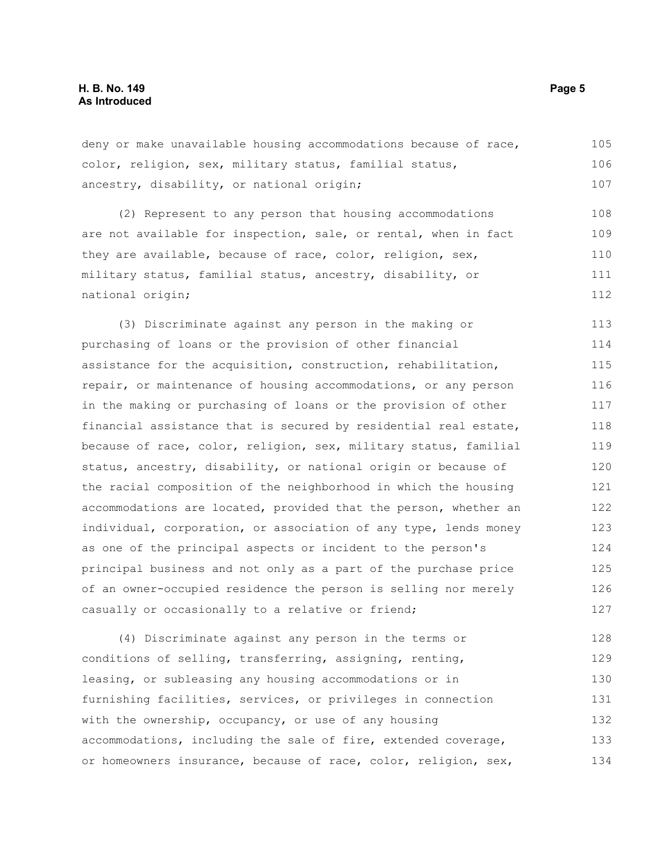deny or make unavailable housing accommodations because of race, color, religion, sex, military status, familial status, ancestry, disability, or national origin; 105 106 107

(2) Represent to any person that housing accommodations are not available for inspection, sale, or rental, when in fact they are available, because of race, color, religion, sex, military status, familial status, ancestry, disability, or national origin; 108 109 110 111 112

(3) Discriminate against any person in the making or purchasing of loans or the provision of other financial assistance for the acquisition, construction, rehabilitation, repair, or maintenance of housing accommodations, or any person in the making or purchasing of loans or the provision of other financial assistance that is secured by residential real estate, because of race, color, religion, sex, military status, familial status, ancestry, disability, or national origin or because of the racial composition of the neighborhood in which the housing accommodations are located, provided that the person, whether an individual, corporation, or association of any type, lends money as one of the principal aspects or incident to the person's principal business and not only as a part of the purchase price of an owner-occupied residence the person is selling nor merely casually or occasionally to a relative or friend; 113 114 115 116 117 118 119 120 121 122 123 124 125 126 127

(4) Discriminate against any person in the terms or conditions of selling, transferring, assigning, renting, leasing, or subleasing any housing accommodations or in furnishing facilities, services, or privileges in connection with the ownership, occupancy, or use of any housing accommodations, including the sale of fire, extended coverage, or homeowners insurance, because of race, color, religion, sex, 128 129 130 131 132 133 134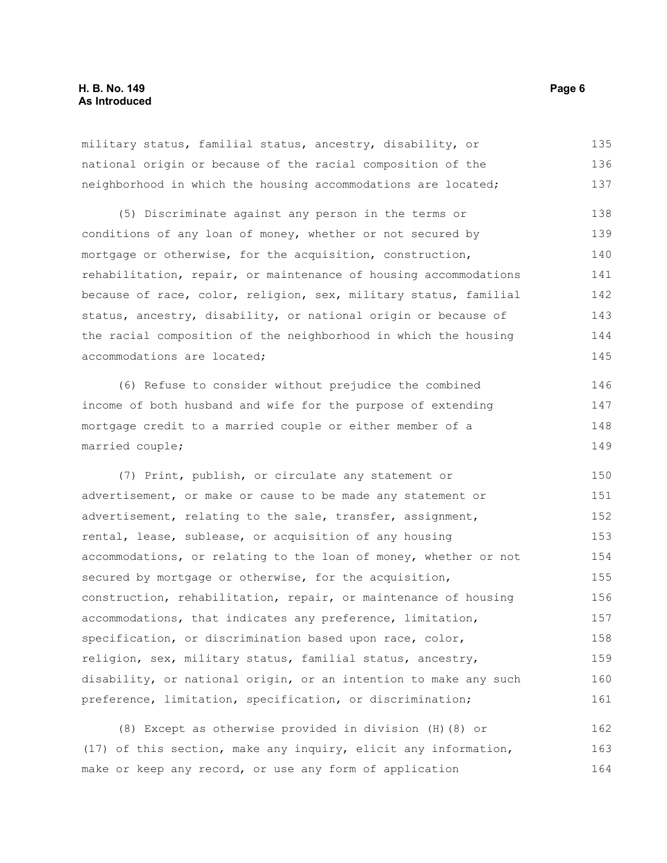military status, familial status, ancestry, disability, or national origin or because of the racial composition of the neighborhood in which the housing accommodations are located; 135 136 137

(5) Discriminate against any person in the terms or conditions of any loan of money, whether or not secured by mortgage or otherwise, for the acquisition, construction, rehabilitation, repair, or maintenance of housing accommodations because of race, color, religion, sex, military status, familial status, ancestry, disability, or national origin or because of the racial composition of the neighborhood in which the housing accommodations are located; 138 139 140 141 142 143 144 145

(6) Refuse to consider without prejudice the combined income of both husband and wife for the purpose of extending mortgage credit to a married couple or either member of a married couple; 146 147 148 149

(7) Print, publish, or circulate any statement or advertisement, or make or cause to be made any statement or advertisement, relating to the sale, transfer, assignment, rental, lease, sublease, or acquisition of any housing accommodations, or relating to the loan of money, whether or not secured by mortgage or otherwise, for the acquisition, construction, rehabilitation, repair, or maintenance of housing accommodations, that indicates any preference, limitation, specification, or discrimination based upon race, color, religion, sex, military status, familial status, ancestry, disability, or national origin, or an intention to make any such preference, limitation, specification, or discrimination; 150 151 152 153 154 155 156 157 158 159 160 161

(8) Except as otherwise provided in division (H)(8) or (17) of this section, make any inquiry, elicit any information, make or keep any record, or use any form of application 162 163 164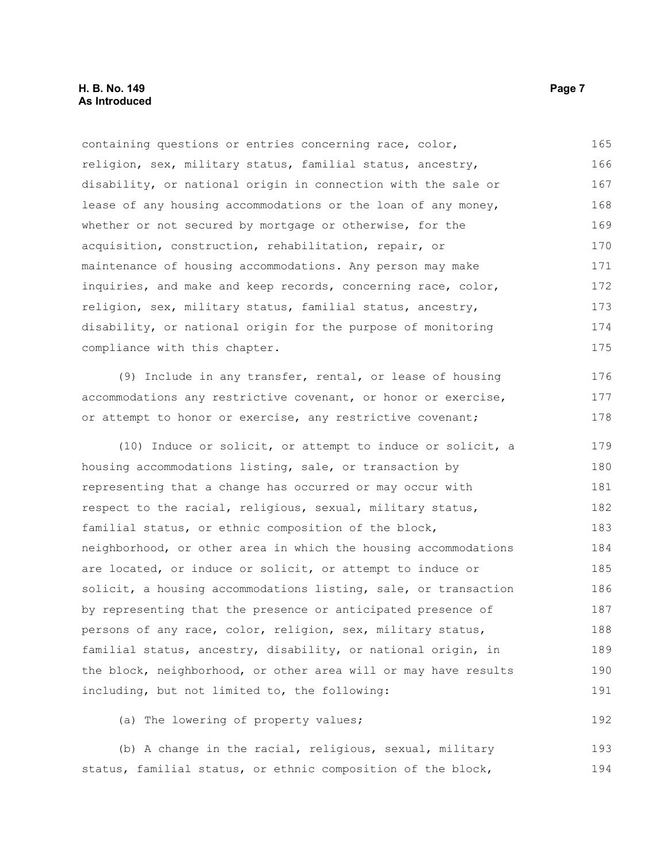#### **H. B. No. 149 Page 7 As Introduced**

containing questions or entries concerning race, color, religion, sex, military status, familial status, ancestry, disability, or national origin in connection with the sale or lease of any housing accommodations or the loan of any money, whether or not secured by mortgage or otherwise, for the acquisition, construction, rehabilitation, repair, or maintenance of housing accommodations. Any person may make inquiries, and make and keep records, concerning race, color, religion, sex, military status, familial status, ancestry, disability, or national origin for the purpose of monitoring compliance with this chapter. 165 166 167 168 169 170 171 172 173 174 175

(9) Include in any transfer, rental, or lease of housing accommodations any restrictive covenant, or honor or exercise, or attempt to honor or exercise, any restrictive covenant; 176 177 178

(10) Induce or solicit, or attempt to induce or solicit, a housing accommodations listing, sale, or transaction by representing that a change has occurred or may occur with respect to the racial, religious, sexual, military status, familial status, or ethnic composition of the block, neighborhood, or other area in which the housing accommodations are located, or induce or solicit, or attempt to induce or solicit, a housing accommodations listing, sale, or transaction by representing that the presence or anticipated presence of persons of any race, color, religion, sex, military status, familial status, ancestry, disability, or national origin, in the block, neighborhood, or other area will or may have results including, but not limited to, the following: 179 180 181 182 183 184 185 186 187 188 189 190 191

(a) The lowering of property values;

(b) A change in the racial, religious, sexual, military status, familial status, or ethnic composition of the block, 193 194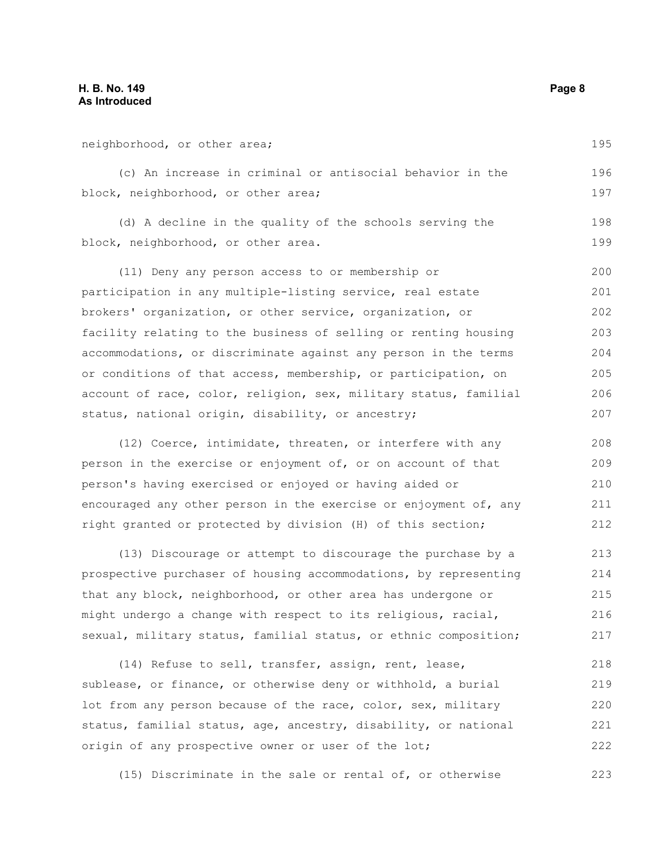neighborhood, or other area; (c) An increase in criminal or antisocial behavior in the block, neighborhood, or other area; (d) A decline in the quality of the schools serving the block, neighborhood, or other area. (11) Deny any person access to or membership or participation in any multiple-listing service, real estate brokers' organization, or other service, organization, or facility relating to the business of selling or renting housing accommodations, or discriminate against any person in the terms or conditions of that access, membership, or participation, on account of race, color, religion, sex, military status, familial status, national origin, disability, or ancestry; (12) Coerce, intimidate, threaten, or interfere with any person in the exercise or enjoyment of, or on account of that person's having exercised or enjoyed or having aided or 195 196 197 198 199 200 201 202 203 204 205 206 207 208 209 210

encouraged any other person in the exercise or enjoyment of, any right granted or protected by division (H) of this section; 211 212

(13) Discourage or attempt to discourage the purchase by a prospective purchaser of housing accommodations, by representing that any block, neighborhood, or other area has undergone or might undergo a change with respect to its religious, racial, sexual, military status, familial status, or ethnic composition; 213 214 215 216 217

(14) Refuse to sell, transfer, assign, rent, lease, sublease, or finance, or otherwise deny or withhold, a burial lot from any person because of the race, color, sex, military status, familial status, age, ancestry, disability, or national origin of any prospective owner or user of the lot; 218 219 220 221 222

(15) Discriminate in the sale or rental of, or otherwise 223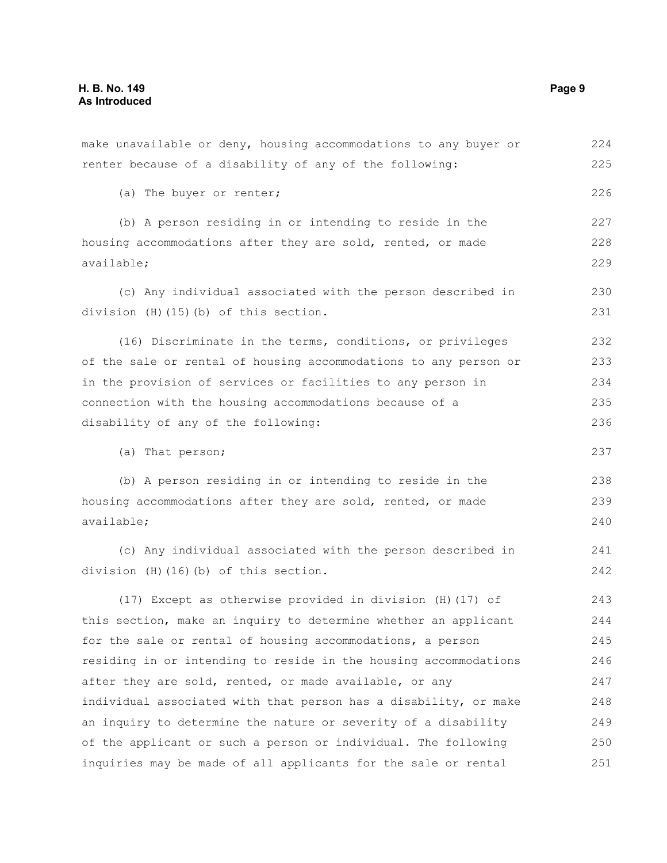| make unavailable or deny, housing accommodations to any buyer or | 224 |
|------------------------------------------------------------------|-----|
| renter because of a disability of any of the following:          | 225 |
|                                                                  |     |
| (a) The buyer or renter;                                         | 226 |
| (b) A person residing in or intending to reside in the           | 227 |
| housing accommodations after they are sold, rented, or made      | 228 |
| available;                                                       | 229 |
| (c) Any individual associated with the person described in       | 230 |
| division (H) (15) (b) of this section.                           | 231 |
| (16) Discriminate in the terms, conditions, or privileges        | 232 |
| of the sale or rental of housing accommodations to any person or | 233 |
| in the provision of services or facilities to any person in      | 234 |
| connection with the housing accommodations because of a          | 235 |
| disability of any of the following:                              | 236 |
| (a) That person;                                                 | 237 |
| (b) A person residing in or intending to reside in the           | 238 |
| housing accommodations after they are sold, rented, or made      | 239 |
| available;                                                       | 240 |
| (c) Any individual associated with the person described in       | 241 |
| division (H) (16) (b) of this section.                           | 242 |
| (17) Except as otherwise provided in division (H) (17) of        | 243 |
| this section, make an inquiry to determine whether an applicant  | 244 |
| for the sale or rental of housing accommodations, a person       | 245 |
| residing in or intending to reside in the housing accommodations | 246 |
| after they are sold, rented, or made available, or any           | 247 |
| individual associated with that person has a disability, or make | 248 |
| an inquiry to determine the nature or severity of a disability   | 249 |
| of the applicant or such a person or individual. The following   | 250 |
| inquiries may be made of all applicants for the sale or rental   | 251 |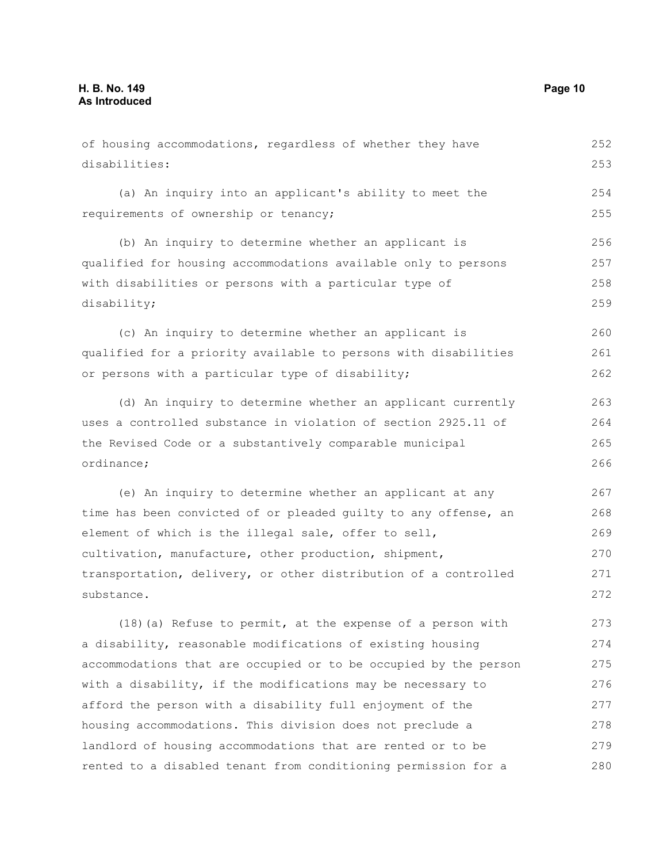disabilities: (a) An inquiry into an applicant's ability to meet the requirements of ownership or tenancy; (b) An inquiry to determine whether an applicant is qualified for housing accommodations available only to persons with disabilities or persons with a particular type of disability; (c) An inquiry to determine whether an applicant is qualified for a priority available to persons with disabilities or persons with a particular type of disability; (d) An inquiry to determine whether an applicant currently uses a controlled substance in violation of section 2925.11 of the Revised Code or a substantively comparable municipal ordinance; (e) An inquiry to determine whether an applicant at any time has been convicted of or pleaded guilty to any offense, an element of which is the illegal sale, offer to sell, cultivation, manufacture, other production, shipment, transportation, delivery, or other distribution of a controlled substance. (18)(a) Refuse to permit, at the expense of a person with a disability, reasonable modifications of existing housing accommodations that are occupied or to be occupied by the person with a disability, if the modifications may be necessary to afford the person with a disability full enjoyment of the housing accommodations. This division does not preclude a 253 254 255 256 257 258 259 260 261 262 263 264 265 266 267 268 269 270 271 272 273 274 275 276 277 278

of housing accommodations, regardless of whether they have

landlord of housing accommodations that are rented or to be rented to a disabled tenant from conditioning permission for a 279 280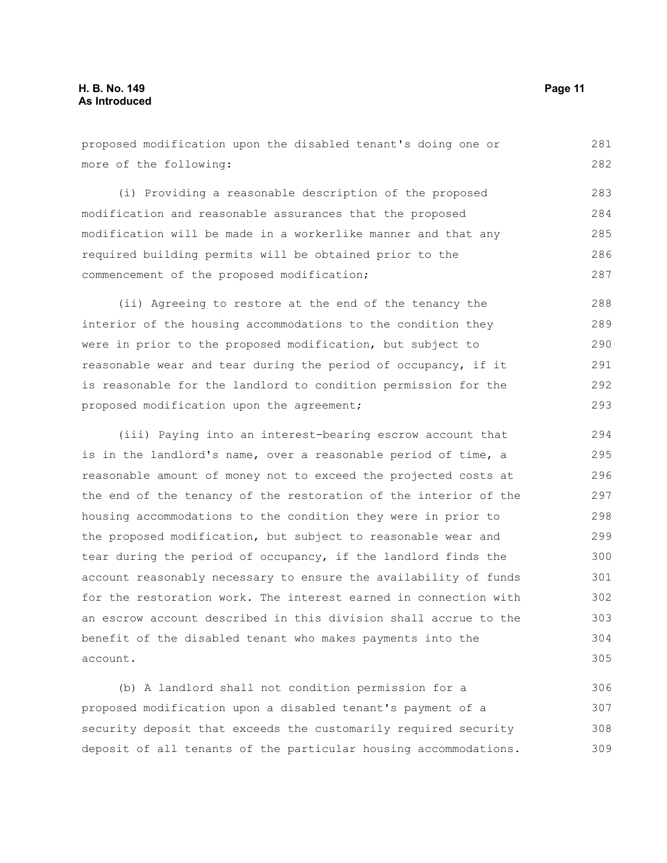proposed modification upon the disabled tenant's doing one or more of the following: (i) Providing a reasonable description of the proposed modification and reasonable assurances that the proposed modification will be made in a workerlike manner and that any required building permits will be obtained prior to the commencement of the proposed modification; (ii) Agreeing to restore at the end of the tenancy the interior of the housing accommodations to the condition they were in prior to the proposed modification, but subject to reasonable wear and tear during the period of occupancy, if it is reasonable for the landlord to condition permission for the proposed modification upon the agreement; (iii) Paying into an interest-bearing escrow account that is in the landlord's name, over a reasonable period of time, a reasonable amount of money not to exceed the projected costs at the end of the tenancy of the restoration of the interior of the housing accommodations to the condition they were in prior to the proposed modification, but subject to reasonable wear and tear during the period of occupancy, if the landlord finds the account reasonably necessary to ensure the availability of funds for the restoration work. The interest earned in connection with 281 282 283 284 285 286 287 288 289 290 291 292 293 294 295 296 297 298 299 300 301 302

an escrow account described in this division shall accrue to the benefit of the disabled tenant who makes payments into the account. 303 304 305

(b) A landlord shall not condition permission for a proposed modification upon a disabled tenant's payment of a security deposit that exceeds the customarily required security deposit of all tenants of the particular housing accommodations. 306 307 308 309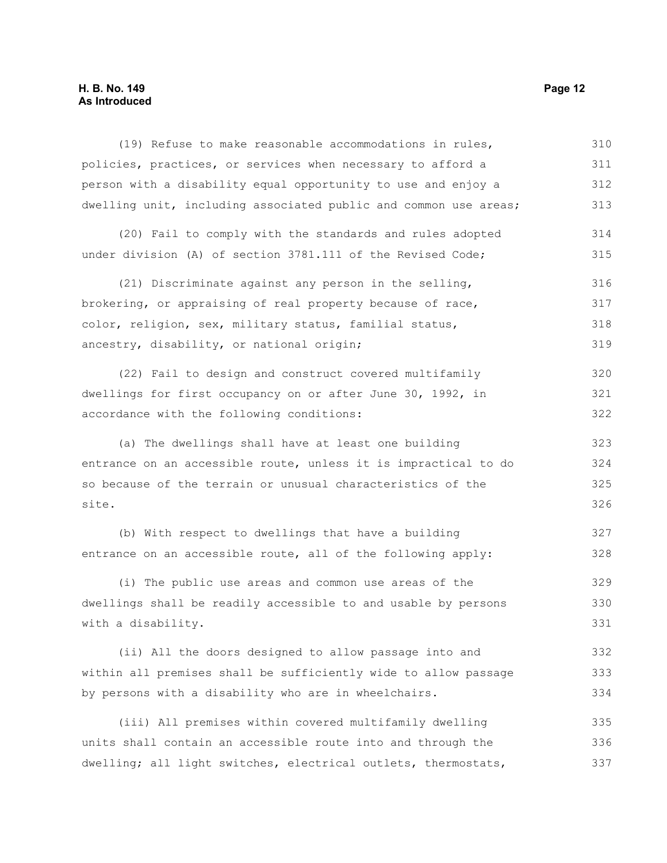### **H. B. No. 149 Page 12 As Introduced**

| $(19)$ Refuse to make reasonable accommodations in rules,        | 310 |
|------------------------------------------------------------------|-----|
| policies, practices, or services when necessary to afford a      | 311 |
| person with a disability equal opportunity to use and enjoy a    | 312 |
| dwelling unit, including associated public and common use areas; | 313 |
| (20) Fail to comply with the standards and rules adopted         | 314 |
| under division (A) of section 3781.111 of the Revised Code;      | 315 |
| (21) Discriminate against any person in the selling,             | 316 |
| brokering, or appraising of real property because of race,       | 317 |
| color, religion, sex, military status, familial status,          | 318 |
| ancestry, disability, or national origin;                        | 319 |
| (22) Fail to design and construct covered multifamily            | 320 |
| dwellings for first occupancy on or after June 30, 1992, in      | 321 |
| accordance with the following conditions:                        | 322 |
| (a) The dwellings shall have at least one building               | 323 |
| entrance on an accessible route, unless it is impractical to do  | 324 |
| so because of the terrain or unusual characteristics of the      | 325 |
| site.                                                            | 326 |
| (b) With respect to dwellings that have a building               | 327 |
| entrance on an accessible route, all of the following apply:     | 328 |
| (i) The public use areas and common use areas of the             | 329 |
| dwellings shall be readily accessible to and usable by persons   | 330 |
| with a disability.                                               | 331 |
| (ii) All the doors designed to allow passage into and            | 332 |
| within all premises shall be sufficiently wide to allow passage  | 333 |
| by persons with a disability who are in wheelchairs.             | 334 |
| (iii) All premises within covered multifamily dwelling           | 335 |
| units shall contain an accessible route into and through the     | 336 |

dwelling; all light switches, electrical outlets, thermostats, 337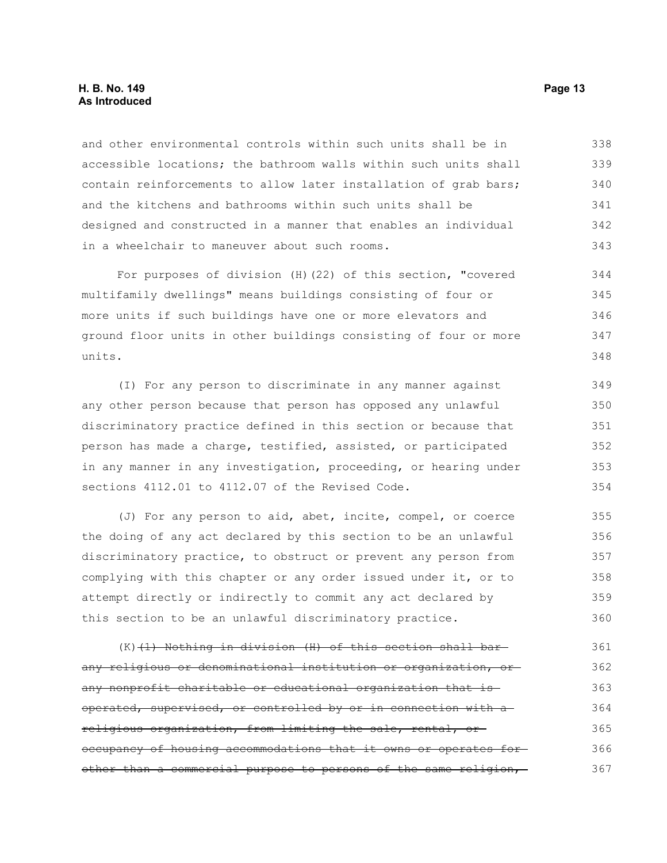and other environmental controls within such units shall be in accessible locations; the bathroom walls within such units shall contain reinforcements to allow later installation of grab bars; and the kitchens and bathrooms within such units shall be designed and constructed in a manner that enables an individual in a wheelchair to maneuver about such rooms. 338 339 340 341 342 343

For purposes of division (H)(22) of this section, "covered multifamily dwellings" means buildings consisting of four or more units if such buildings have one or more elevators and ground floor units in other buildings consisting of four or more units. 344 345 346 347 348

(I) For any person to discriminate in any manner against any other person because that person has opposed any unlawful discriminatory practice defined in this section or because that person has made a charge, testified, assisted, or participated in any manner in any investigation, proceeding, or hearing under sections 4112.01 to 4112.07 of the Revised Code. 349 350 351 352 353 354

(J) For any person to aid, abet, incite, compel, or coerce the doing of any act declared by this section to be an unlawful discriminatory practice, to obstruct or prevent any person from complying with this chapter or any order issued under it, or to attempt directly or indirectly to commit any act declared by this section to be an unlawful discriminatory practice. 355 356 357 358 359 360

 $(K)$   $(1)$  Nothing in division  $(H)$  of this section shall barany religious or denominational institution or organization, or any nonprofit charitable or educational organization that is operated, supervised, or controlled by or in connection with a religious organization, from limiting the sale, rental, or occupancy of housing accommodations that it owns or operates for other than a commercial purpose to persons of the same religion, 361 362 363 364 365 366 367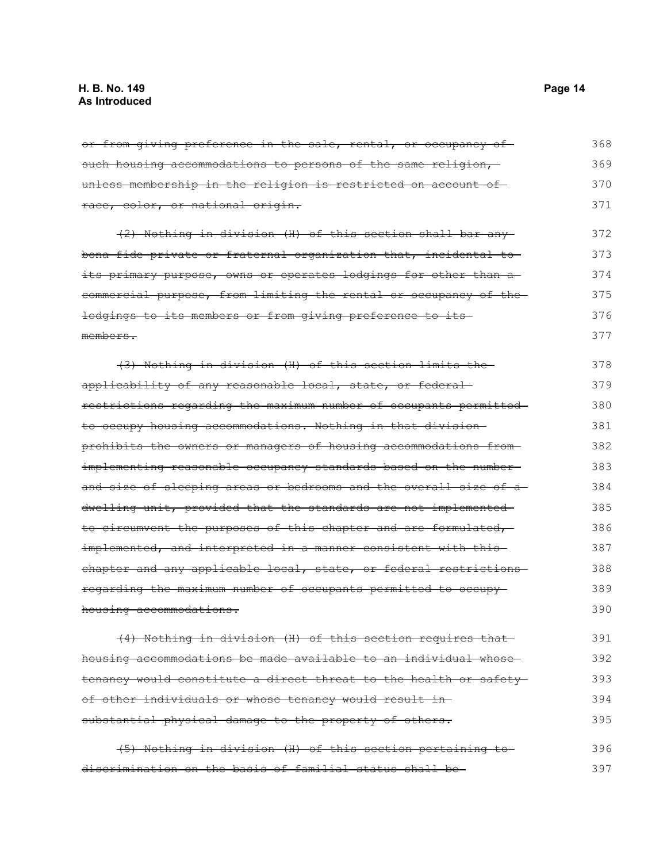or from giving preference in the sale, rental, or occupancy of such housing accommodations to persons of the same religion, unless membership in the religion is restricted on account ofrace, color, or national origin. (2) Nothing in division (H) of this section shall bar any bona fide private or fraternal organization that, incidental to its primary purpose, owns or operates lodgings for other than a commercial purpose, from limiting the rental or occupancy of the lodgings to its members or from giving preference to its members. (3) Nothing in division (H) of this section limits the applicability of any reasonable local, state, or federal restrictions regarding the maximum number of occupants permitted to occupy housing accommodations. Nothing in that division prohibits the owners or managers of housing accommodations from implementing reasonable occupancy standards based on the numberand size of sleeping areas or bedrooms and the overall size of adwelling unit, provided that the standards are not implemented to circumvent the purposes of this chapter and are formulated, implemented, and interpreted in a manner consistent with this chapter and any applicable local, state, or federal restrictionsregarding the maximum number of occupants permitted to occupy housing accommodations. (4) Nothing in division (H) of this section requires that housing accommodations be made available to an individual whose tenancy would constitute a direct threat to the health or safety of other individuals or whose tenancy would result in substantial physical damage to the property of others. 368 369 370 371 372 373 374 375 376 377 378 379 380 381 382 383 384 385 386 387 388 389 390 391 392 393 394 395

(5) Nothing in division (H) of this section pertaining to discrimination on the basis of familial status shall be 396 397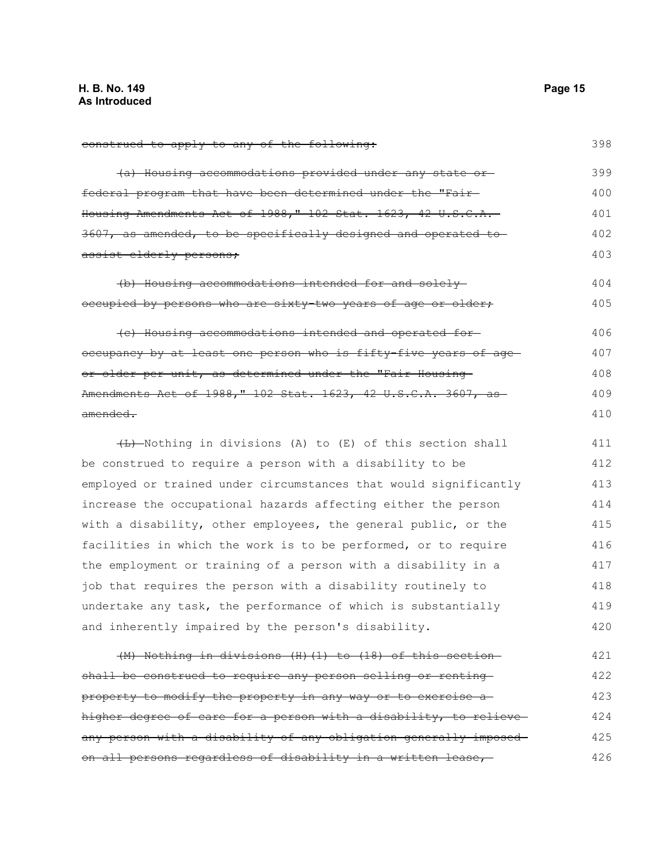construed to apply to any of the following: (a) Housing accommodations provided under any state or federal program that have been determined under the "Fair Housing Amendments Act of 1988," 102 Stat. 1623, 42 U.S.C.A. 3607, as amended, to be specifically designed and operated to assist elderly persons; (b) Housing accommodations intended for and solely occupied by persons who are sixty-two years of age or older; (c) Housing accommodations intended and operated for occupancy by at least one person who is fifty five years of ageor older per unit, as determined under the "Fair Housing Amendments Act of 1988," 102 Stat. 1623, 42 U.S.C.A. 3607, as amended.  $(H)$  -Nothing in divisions (A) to (E) of this section shall be construed to require a person with a disability to be employed or trained under circumstances that would significantly increase the occupational hazards affecting either the person with a disability, other employees, the general public, or the facilities in which the work is to be performed, or to require the employment or training of a person with a disability in a job that requires the person with a disability routinely to undertake any task, the performance of which is substantially and inherently impaired by the person's disability. (M) Nothing in divisions (H)(1) to (18) of this section shall be construed to require any person selling or renting property to modify the property in any way or to exercise a 398 399 400 401 402 403 404 405 406 407 408 409 410 411 412 413 414 415 416 417 418 419 420 421 422 423 424

#### higher degree of care for a person with a disability, to relieve any person with a disability of any obligation generally imposed on all persons regardless of disability in a written lease, 425 426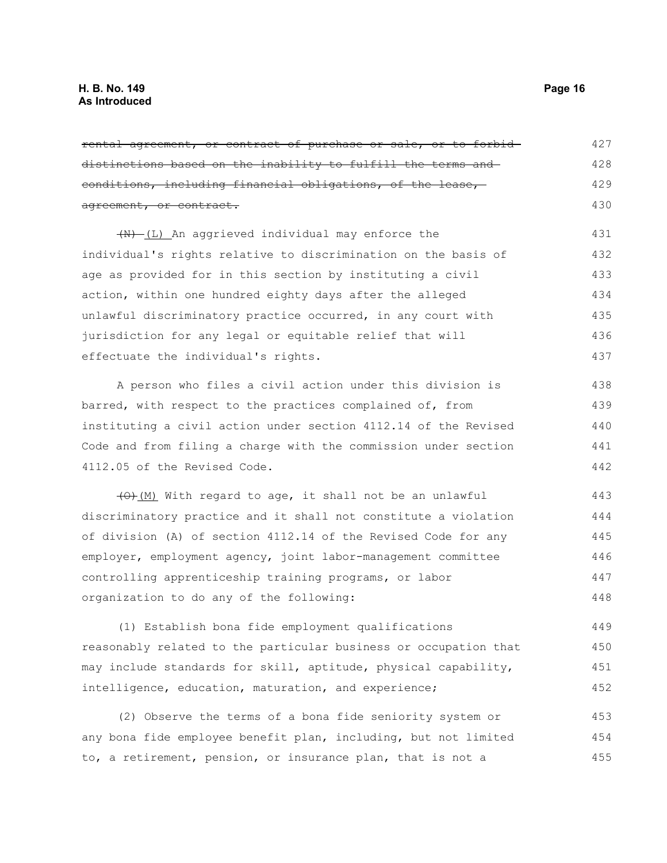rental agreement, or contract of purchase or sale, or to forbid distinctions based on the inability to fulfill the terms and conditions, including financial obligations, of the lease, agreement, or contract. (N) (L) An aggrieved individual may enforce the individual's rights relative to discrimination on the basis of age as provided for in this section by instituting a civil action, within one hundred eighty days after the alleged unlawful discriminatory practice occurred, in any court with jurisdiction for any legal or equitable relief that will effectuate the individual's rights. A person who files a civil action under this division is barred, with respect to the practices complained of, from 427 428 429 430 431 432 433 434 435 436 437 438 439

instituting a civil action under section 4112.14 of the Revised Code and from filing a charge with the commission under section 4112.05 of the Revised Code. 440 441 442

(O)(M) With regard to age, it shall not be an unlawful discriminatory practice and it shall not constitute a violation of division (A) of section 4112.14 of the Revised Code for any employer, employment agency, joint labor-management committee controlling apprenticeship training programs, or labor organization to do any of the following: 443 444 445 446 447 448

(1) Establish bona fide employment qualifications reasonably related to the particular business or occupation that may include standards for skill, aptitude, physical capability, intelligence, education, maturation, and experience; 449 450 451 452

(2) Observe the terms of a bona fide seniority system or any bona fide employee benefit plan, including, but not limited to, a retirement, pension, or insurance plan, that is not a 453 454 455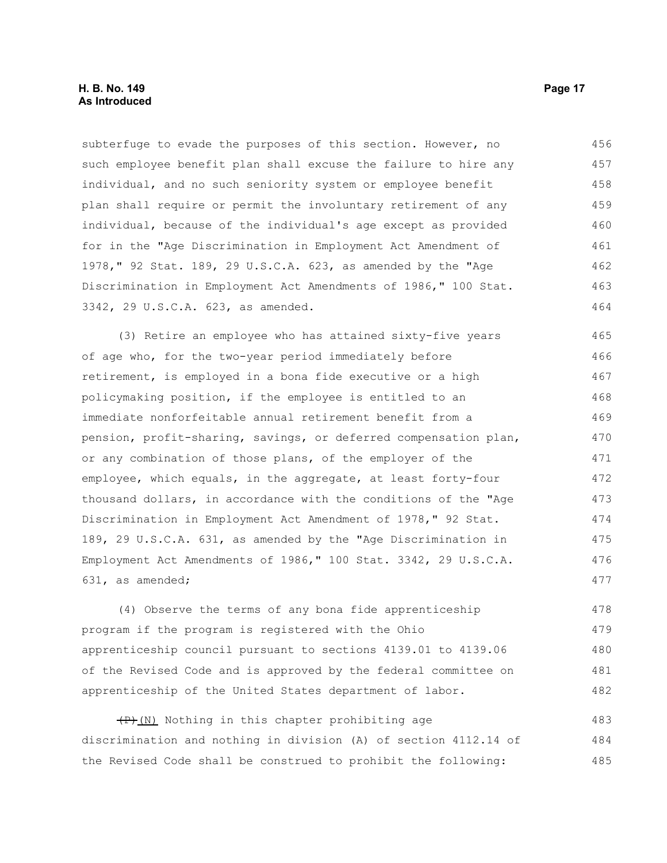subterfuge to evade the purposes of this section. However, no such employee benefit plan shall excuse the failure to hire any individual, and no such seniority system or employee benefit plan shall require or permit the involuntary retirement of any individual, because of the individual's age except as provided for in the "Age Discrimination in Employment Act Amendment of 1978," 92 Stat. 189, 29 U.S.C.A. 623, as amended by the "Age Discrimination in Employment Act Amendments of 1986," 100 Stat. 3342, 29 U.S.C.A. 623, as amended. 456 457 458 459 460 461 462 463 464

(3) Retire an employee who has attained sixty-five years of age who, for the two-year period immediately before retirement, is employed in a bona fide executive or a high policymaking position, if the employee is entitled to an immediate nonforfeitable annual retirement benefit from a pension, profit-sharing, savings, or deferred compensation plan, or any combination of those plans, of the employer of the employee, which equals, in the aggregate, at least forty-four thousand dollars, in accordance with the conditions of the "Age Discrimination in Employment Act Amendment of 1978," 92 Stat. 189, 29 U.S.C.A. 631, as amended by the "Age Discrimination in Employment Act Amendments of 1986," 100 Stat. 3342, 29 U.S.C.A. 631, as amended; 465 466 467 468 469 470 471 472 473 474 475 476 477

(4) Observe the terms of any bona fide apprenticeship program if the program is registered with the Ohio apprenticeship council pursuant to sections 4139.01 to 4139.06 of the Revised Code and is approved by the federal committee on apprenticeship of the United States department of labor. 478 479 480 481 482

 $(P)$ (N) Nothing in this chapter prohibiting age discrimination and nothing in division (A) of section 4112.14 of the Revised Code shall be construed to prohibit the following: 483 484 485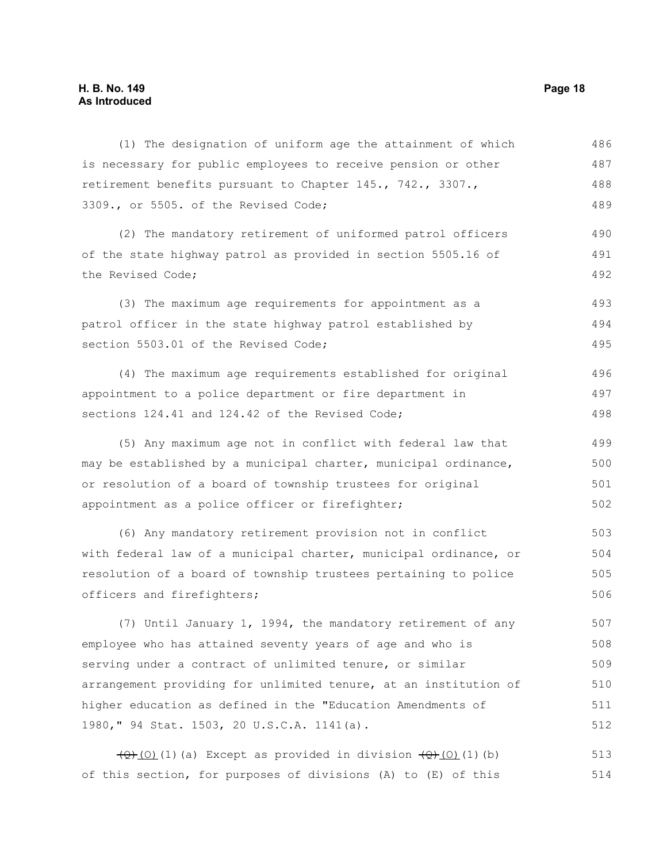#### **H. B. No. 149 Page 18 As Introduced**

(1) The designation of uniform age the attainment of which is necessary for public employees to receive pension or other retirement benefits pursuant to Chapter 145., 742., 3307., 3309., or 5505. of the Revised Code; (2) The mandatory retirement of uniformed patrol officers of the state highway patrol as provided in section 5505.16 of the Revised Code; (3) The maximum age requirements for appointment as a patrol officer in the state highway patrol established by section 5503.01 of the Revised Code; (4) The maximum age requirements established for original appointment to a police department or fire department in sections 124.41 and 124.42 of the Revised Code; (5) Any maximum age not in conflict with federal law that may be established by a municipal charter, municipal ordinance, or resolution of a board of township trustees for original appointment as a police officer or firefighter; (6) Any mandatory retirement provision not in conflict with federal law of a municipal charter, municipal ordinance, or resolution of a board of township trustees pertaining to police officers and firefighters; (7) Until January 1, 1994, the mandatory retirement of any employee who has attained seventy years of age and who is serving under a contract of unlimited tenure, or similar arrangement providing for unlimited tenure, at an institution of higher education as defined in the "Education Amendments of 1980," 94 Stat. 1503, 20 U.S.C.A. 1141(a). 486 487 488 489 490 491 492 493 494 495 496 497 498 499 500 501 502 503 504 505 506 507 508 509 510 511 512

 $(\frac{Q}{Q})(0)(1)$  (a) Except as provided in division  $(\frac{Q}{Q})(0)(1)$  (b) of this section, for purposes of divisions (A) to (E) of this 513 514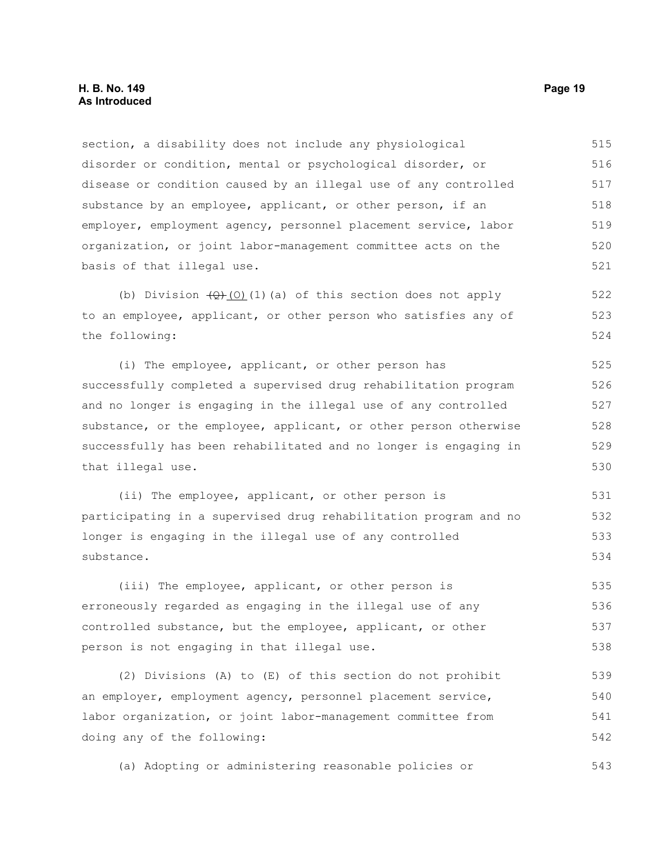section, a disability does not include any physiological disorder or condition, mental or psychological disorder, or disease or condition caused by an illegal use of any controlled substance by an employee, applicant, or other person, if an employer, employment agency, personnel placement service, labor organization, or joint labor-management committee acts on the basis of that illegal use. 515 516 517 518 519 520 521

(b) Division  $(\theta)$  (0)(1)(a) of this section does not apply to an employee, applicant, or other person who satisfies any of the following: 522 523 524

(i) The employee, applicant, or other person has successfully completed a supervised drug rehabilitation program and no longer is engaging in the illegal use of any controlled substance, or the employee, applicant, or other person otherwise successfully has been rehabilitated and no longer is engaging in that illegal use. 525 526 527 528 529 530

(ii) The employee, applicant, or other person is participating in a supervised drug rehabilitation program and no longer is engaging in the illegal use of any controlled substance. 531 532 533 534

(iii) The employee, applicant, or other person is erroneously regarded as engaging in the illegal use of any controlled substance, but the employee, applicant, or other person is not engaging in that illegal use. 535 536 537 538

(2) Divisions (A) to (E) of this section do not prohibit an employer, employment agency, personnel placement service, labor organization, or joint labor-management committee from doing any of the following: 539 540 541 542

(a) Adopting or administering reasonable policies or 543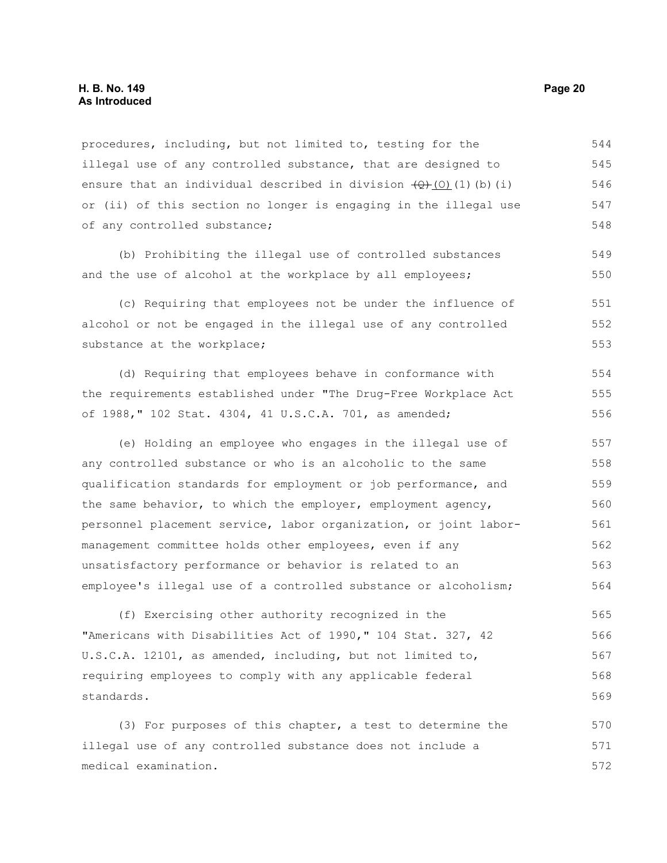procedures, including, but not limited to, testing for the illegal use of any controlled substance, that are designed to ensure that an individual described in division  $\left(\frac{Q}{Q}\right)(1)(b)(i)$ or (ii) of this section no longer is engaging in the illegal use of any controlled substance; 544 545 546 547 548

(b) Prohibiting the illegal use of controlled substances and the use of alcohol at the workplace by all employees;

(c) Requiring that employees not be under the influence of alcohol or not be engaged in the illegal use of any controlled substance at the workplace; 551 552 553

(d) Requiring that employees behave in conformance with the requirements established under "The Drug-Free Workplace Act of 1988," 102 Stat. 4304, 41 U.S.C.A. 701, as amended; 554 555 556

(e) Holding an employee who engages in the illegal use of any controlled substance or who is an alcoholic to the same qualification standards for employment or job performance, and the same behavior, to which the employer, employment agency, personnel placement service, labor organization, or joint labormanagement committee holds other employees, even if any unsatisfactory performance or behavior is related to an employee's illegal use of a controlled substance or alcoholism; 557 558 559 560 561 562 563 564

(f) Exercising other authority recognized in the "Americans with Disabilities Act of 1990," 104 Stat. 327, 42 U.S.C.A. 12101, as amended, including, but not limited to, requiring employees to comply with any applicable federal standards. 565 566 567 568 569

(3) For purposes of this chapter, a test to determine the illegal use of any controlled substance does not include a medical examination. 570 571 572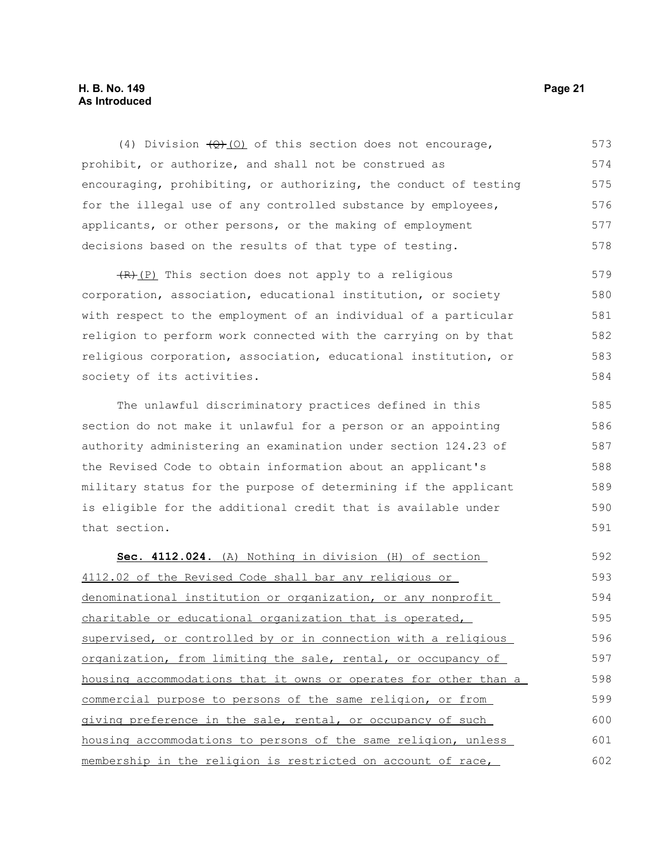#### **H. B. No. 149 Page 21 As Introduced**

(4) Division  $\left(\frac{\rho}{\rho}\right)$  of this section does not encourage, prohibit, or authorize, and shall not be construed as encouraging, prohibiting, or authorizing, the conduct of testing for the illegal use of any controlled substance by employees, applicants, or other persons, or the making of employment decisions based on the results of that type of testing. 573 574 575 576 577 578

 $(R)$ (P) This section does not apply to a religious corporation, association, educational institution, or society with respect to the employment of an individual of a particular religion to perform work connected with the carrying on by that religious corporation, association, educational institution, or society of its activities. 579 580 581 582 583 584

The unlawful discriminatory practices defined in this section do not make it unlawful for a person or an appointing authority administering an examination under section 124.23 of the Revised Code to obtain information about an applicant's military status for the purpose of determining if the applicant is eligible for the additional credit that is available under that section. 585 586 587 588 589 590 591

 **Sec. 4112.024.** (A) Nothing in division (H) of section 4112.02 of the Revised Code shall bar any religious or denominational institution or organization, or any nonprofit charitable or educational organization that is operated, supervised, or controlled by or in connection with a religious organization, from limiting the sale, rental, or occupancy of housing accommodations that it owns or operates for other than a commercial purpose to persons of the same religion, or from giving preference in the sale, rental, or occupancy of such housing accommodations to persons of the same religion, unless membership in the religion is restricted on account of race, 592 593 594 595 596 597 598 599 600 601 602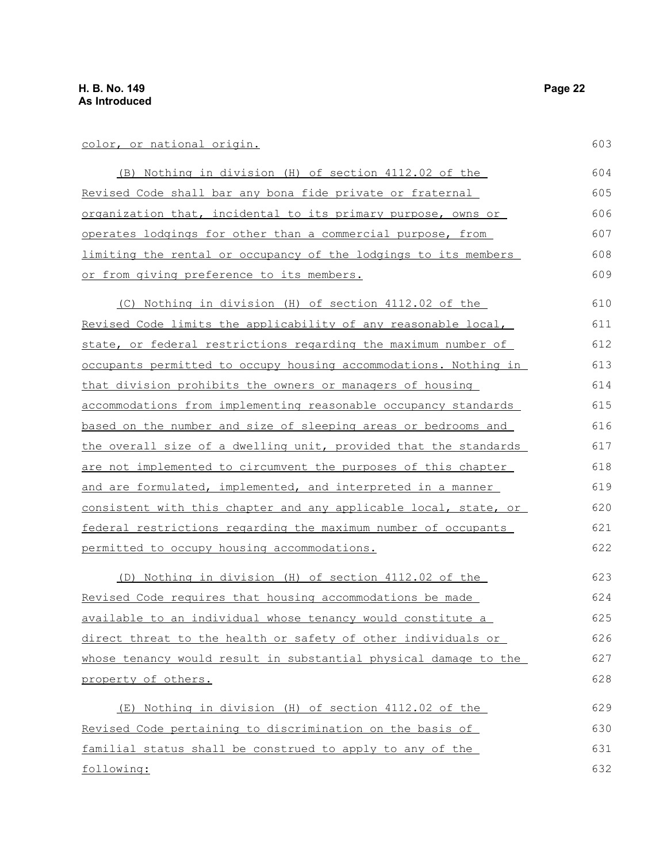### color, or national origin.

| (B) Nothing in division (H) of section 4112.02 of the                  | 604 |
|------------------------------------------------------------------------|-----|
| Revised Code shall bar any bona fide private or fraternal              | 605 |
| organization that, incidental to its primary purpose, owns or          | 606 |
| operates lodgings for other than a commercial purpose, from            | 607 |
| <u>limiting the rental or occupancy of the lodgings to its members</u> | 608 |
| or from giving preference to its members.                              | 609 |
| (C) Nothing in division (H) of section 4112.02 of the                  | 610 |
| Revised Code limits the applicability of any reasonable local,         | 611 |
| state, or federal restrictions regarding the maximum number of         | 612 |
| occupants permitted to occupy housing accommodations. Nothing in       | 613 |
| that division prohibits the owners or managers of housing              | 614 |
| accommodations from implementing reasonable occupancy standards        | 615 |
| based on the number and size of sleeping areas or bedrooms and         | 616 |
| the overall size of a dwelling unit, provided that the standards       | 617 |
| are not implemented to circumvent the purposes of this chapter         | 618 |
| and are formulated, implemented, and interpreted in a manner           | 619 |
| consistent with this chapter and any applicable local, state, or       | 620 |
| federal restrictions regarding the maximum number of occupants         | 621 |
| permitted to occupy housing accommodations.                            | 622 |
| (D) Nothing in division (H) of section 4112.02 of the                  | 623 |
| Revised Code requires that housing accommodations be made              | 624 |
| available to an individual whose tenancy would constitute a            | 625 |
| direct threat to the health or safety of other individuals or          | 626 |
| whose tenancy would result in substantial physical damage to the       | 627 |
| property of others.                                                    | 628 |
| (E) Nothing in division (H) of section 4112.02 of the                  | 629 |
| Revised Code pertaining to discrimination on the basis of              | 630 |
| familial status shall be construed to apply to any of the              | 631 |
| following:                                                             | 632 |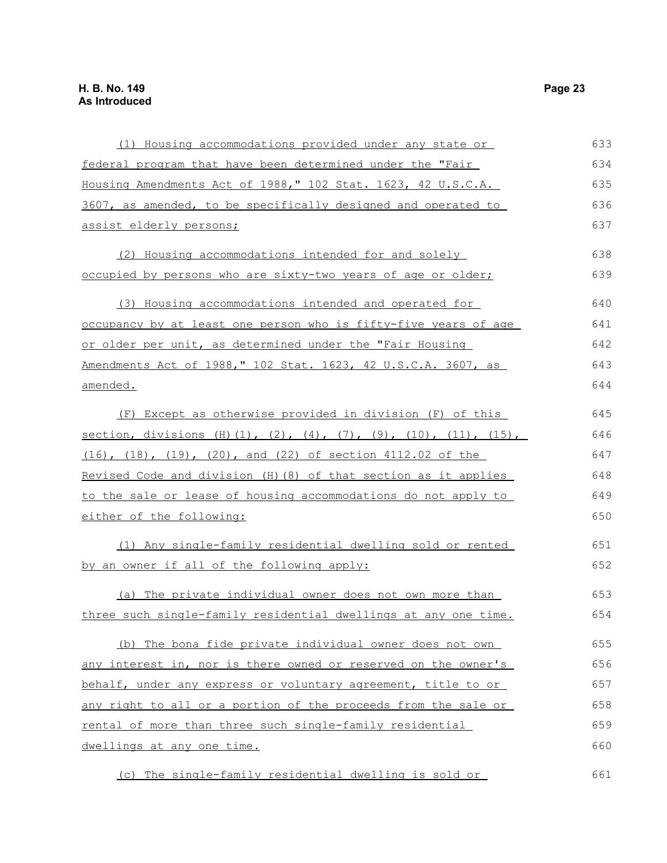| (1) Housing accommodations provided under any state or                   | 633 |
|--------------------------------------------------------------------------|-----|
| federal program that have been determined under the "Fair                | 634 |
| Housing Amendments Act of 1988," 102 Stat. 1623, 42 U.S.C.A.             | 635 |
| 3607, as amended, to be specifically designed and operated to            | 636 |
| assist elderly persons;                                                  | 637 |
| (2) Housing accommodations intended for and solely                       | 638 |
| occupied by persons who are sixty-two years of age or older;             | 639 |
| (3) Housing accommodations intended and operated for                     | 640 |
| <u>occupancy by at least one person who is fifty-five years of age</u>   | 641 |
| or older per unit, as determined under the "Fair Housing                 | 642 |
| Amendments Act of 1988," 102 Stat. 1623, 42 U.S.C.A. 3607, as            | 643 |
| amended.                                                                 | 644 |
| (F) Except as otherwise provided in division (F) of this                 | 645 |
| section, divisions (H)(1), (2), (4), (7), (9), (10), (11), (15),         | 646 |
| $(16)$ , $(18)$ , $(19)$ , $(20)$ , and $(22)$ of section 4112.02 of the | 647 |
| Revised Code and division (H) (8) of that section as it applies          | 648 |
| to the sale or lease of housing accommodations do not apply to           | 649 |
| either of the following:                                                 | 650 |
| (1) Any single-family residential dwelling sold or rented                | 651 |
| by an owner if all of the following apply:                               | 652 |
| (a) The private individual owner does not own more than                  | 653 |
| three such single-family residential dwellings at any one time.          | 654 |
| (b) The bona fide private individual owner does not own                  | 655 |
| any interest in, nor is there owned or reserved on the owner's           | 656 |
| behalf, under any express or voluntary agreement, title to or            | 657 |
| any right to all or a portion of the proceeds from the sale or           | 658 |
| rental of more than three such single-family residential                 | 659 |
| dwellings at any one time.                                               | 660 |
| (c) The single-family residential dwelling is sold or                    | 661 |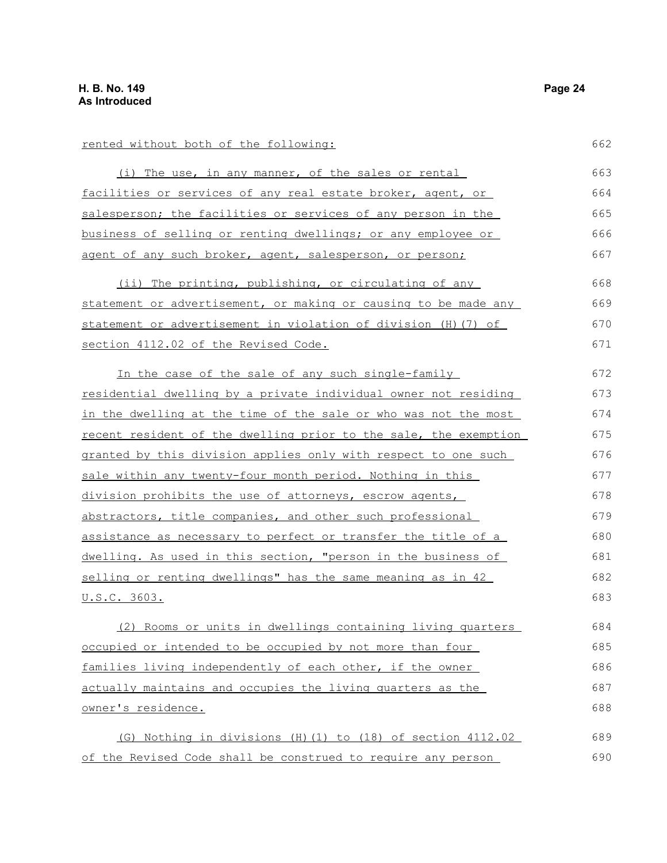| rented without both of the following:                            |     |
|------------------------------------------------------------------|-----|
| (i) The use, in any manner, of the sales or rental               | 663 |
| facilities or services of any real estate broker, agent, or      | 664 |
| salesperson; the facilities or services of any person in the     | 665 |
| business of selling or renting dwellings; or any employee or     | 666 |
| agent of any such broker, agent, salesperson, or person;         | 667 |
| (ii) The printing, publishing, or circulating of any             | 668 |
| statement or advertisement, or making or causing to be made any  | 669 |
| statement or advertisement in violation of division (H) (7) of   | 670 |
| section 4112.02 of the Revised Code.                             | 671 |
| In the case of the sale of any such single-family                | 672 |
| residential dwelling by a private individual owner not residing  | 673 |
| in the dwelling at the time of the sale or who was not the most  | 674 |
| recent resident of the dwelling prior to the sale, the exemption | 675 |
| granted by this division applies only with respect to one such   | 676 |
| sale within any twenty-four month period. Nothing in this        | 677 |
| division prohibits the use of attorneys, escrow agents,          | 678 |
| abstractors, title companies, and other such professional        | 679 |
| assistance as necessary to perfect or transfer the title of a    | 680 |
| dwelling. As used in this section, "person in the business of    | 681 |
| selling or renting dwellings" has the same meaning as in 42      | 682 |
| <u>U.S.C. 3603.</u>                                              | 683 |
| (2) Rooms or units in dwellings containing living quarters       | 684 |
| occupied or intended to be occupied by not more than four        | 685 |
| families living independently of each other, if the owner        | 686 |
| actually maintains and occupies the living quarters as the       | 687 |
| owner's residence.                                               | 688 |
| (G) Nothing in divisions (H) (1) to (18) of section 4112.02      | 689 |
| of the Revised Code shall be construed to require any person     | 690 |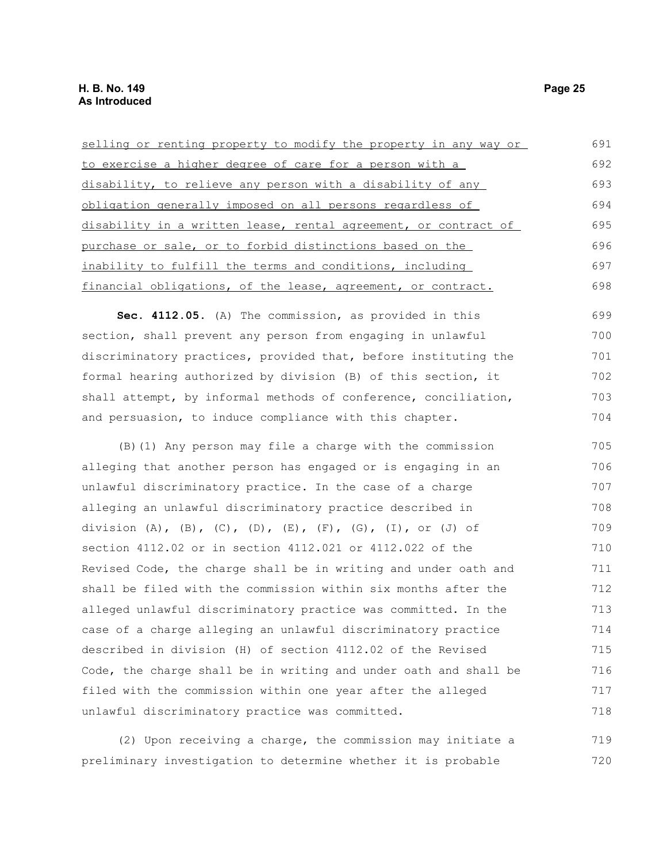| selling or renting property to modify the property in any way or | 691 |
|------------------------------------------------------------------|-----|
| to exercise a higher degree of care for a person with a          | 692 |
| disability, to relieve any person with a disability of any       | 693 |
| obligation generally imposed on all persons regardless of        | 694 |
| disability in a written lease, rental agreement, or contract of  | 695 |
| purchase or sale, or to forbid distinctions based on the         | 696 |
| inability to fulfill the terms and conditions, including         | 697 |
| financial obligations, of the lease, agreement, or contract.     | 698 |
| Sec. 4112.05. (A) The commission, as provided in this            | 699 |
| section, shall prevent any person from engaging in unlawful      | 700 |
| discriminatory practices, provided that, before instituting the  | 701 |
| formal hearing authorized by division (B) of this section, it    | 702 |
| shall attempt, by informal methods of conference, conciliation,  | 703 |
| and persuasion, to induce compliance with this chapter.          | 704 |
| (B) (1) Any person may file a charge with the commission         | 705 |
| alleging that another person has engaged or is engaging in an    | 706 |
| unlawful discriminatory practice. In the case of a charge        | 707 |
| alleging an unlawful discriminatory practice described in        | 708 |
| division (A), (B), (C), (D), (E), (F), (G), (I), or (J) of       | 709 |
| section 4112.02 or in section 4112.021 or 4112.022 of the        | 710 |
| Revised Code, the charge shall be in writing and under oath and  | 711 |
| shall be filed with the commission within six months after the   | 712 |
| alleged unlawful discriminatory practice was committed. In the   | 713 |
| case of a charge alleging an unlawful discriminatory practice    | 714 |
| described in division (H) of section 4112.02 of the Revised      | 715 |
| Code, the charge shall be in writing and under oath and shall be | 716 |
| filed with the commission within one year after the alleged      | 717 |
| unlawful discriminatory practice was committed.                  | 718 |
|                                                                  |     |

(2) Upon receiving a charge, the commission may initiate a preliminary investigation to determine whether it is probable 719 720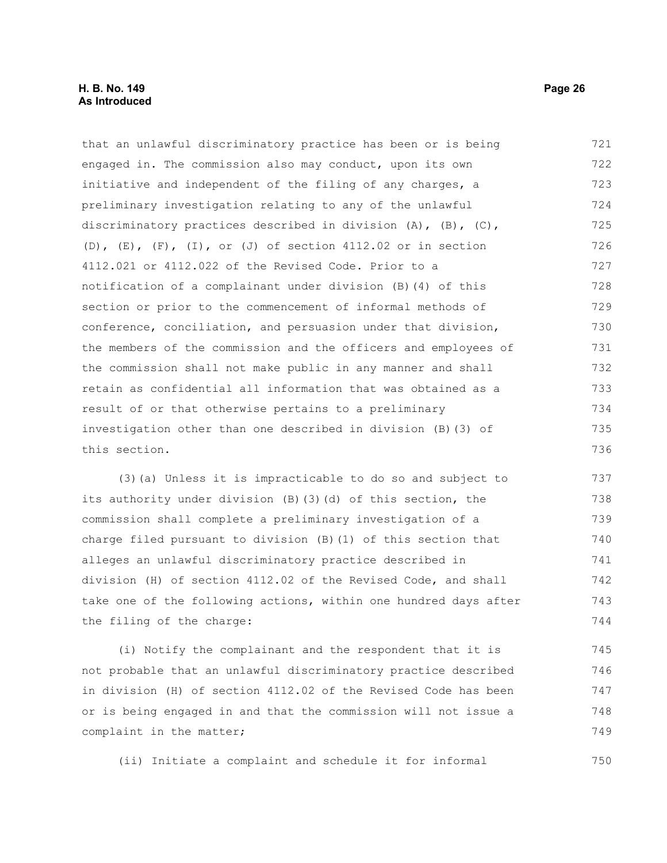that an unlawful discriminatory practice has been or is being engaged in. The commission also may conduct, upon its own initiative and independent of the filing of any charges, a preliminary investigation relating to any of the unlawful discriminatory practices described in division (A), (B), (C), (D), (E), (F), (I), or (J) of section 4112.02 or in section 4112.021 or 4112.022 of the Revised Code. Prior to a notification of a complainant under division (B)(4) of this section or prior to the commencement of informal methods of conference, conciliation, and persuasion under that division, the members of the commission and the officers and employees of the commission shall not make public in any manner and shall retain as confidential all information that was obtained as a result of or that otherwise pertains to a preliminary investigation other than one described in division (B)(3) of this section. 721 722 723 724 725 726 727 728 729 730 731 732 733 734 735 736

(3)(a) Unless it is impracticable to do so and subject to its authority under division (B)(3)(d) of this section, the commission shall complete a preliminary investigation of a charge filed pursuant to division (B)(1) of this section that alleges an unlawful discriminatory practice described in division (H) of section 4112.02 of the Revised Code, and shall take one of the following actions, within one hundred days after the filing of the charge: 737 738 739 740 741 742 743 744

(i) Notify the complainant and the respondent that it is not probable that an unlawful discriminatory practice described in division (H) of section 4112.02 of the Revised Code has been or is being engaged in and that the commission will not issue a complaint in the matter; 745 746 747 748 749

(ii) Initiate a complaint and schedule it for informal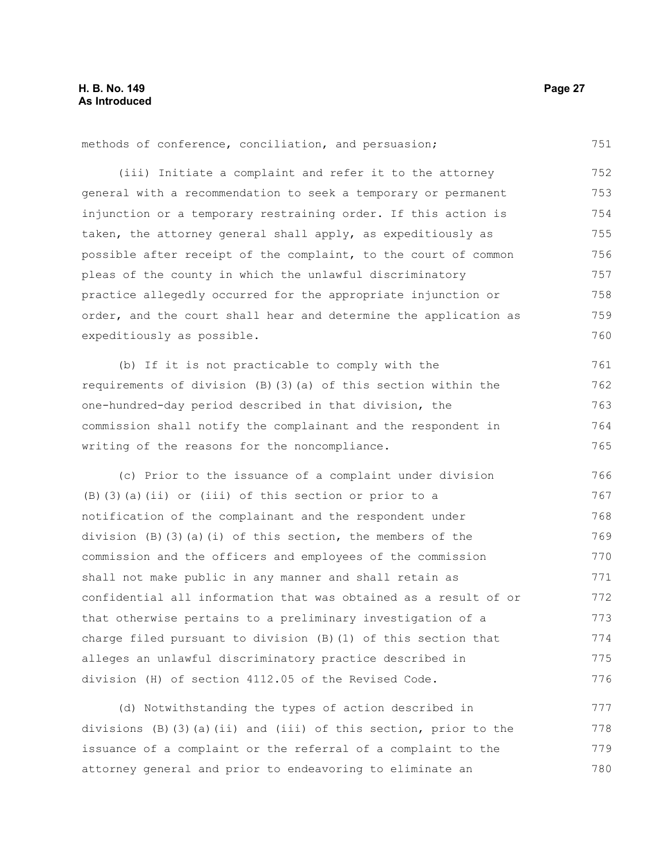751

methods of conference, conciliation, and persuasion;

(iii) Initiate a complaint and refer it to the attorney general with a recommendation to seek a temporary or permanent injunction or a temporary restraining order. If this action is taken, the attorney general shall apply, as expeditiously as possible after receipt of the complaint, to the court of common pleas of the county in which the unlawful discriminatory practice allegedly occurred for the appropriate injunction or order, and the court shall hear and determine the application as expeditiously as possible. 752 753 754 755 756 757 758 759 760

(b) If it is not practicable to comply with the requirements of division (B)(3)(a) of this section within the one-hundred-day period described in that division, the commission shall notify the complainant and the respondent in writing of the reasons for the noncompliance. 761 762 763 764 765

(c) Prior to the issuance of a complaint under division (B)(3)(a)(ii) or (iii) of this section or prior to a notification of the complainant and the respondent under division (B)(3)(a)(i) of this section, the members of the commission and the officers and employees of the commission shall not make public in any manner and shall retain as confidential all information that was obtained as a result of or that otherwise pertains to a preliminary investigation of a charge filed pursuant to division (B)(1) of this section that alleges an unlawful discriminatory practice described in division (H) of section 4112.05 of the Revised Code. 766 767 768 769 770 771 772 773 774 775 776

(d) Notwithstanding the types of action described in divisions (B)(3)(a)(ii) and (iii) of this section, prior to the issuance of a complaint or the referral of a complaint to the attorney general and prior to endeavoring to eliminate an 777 778 779 780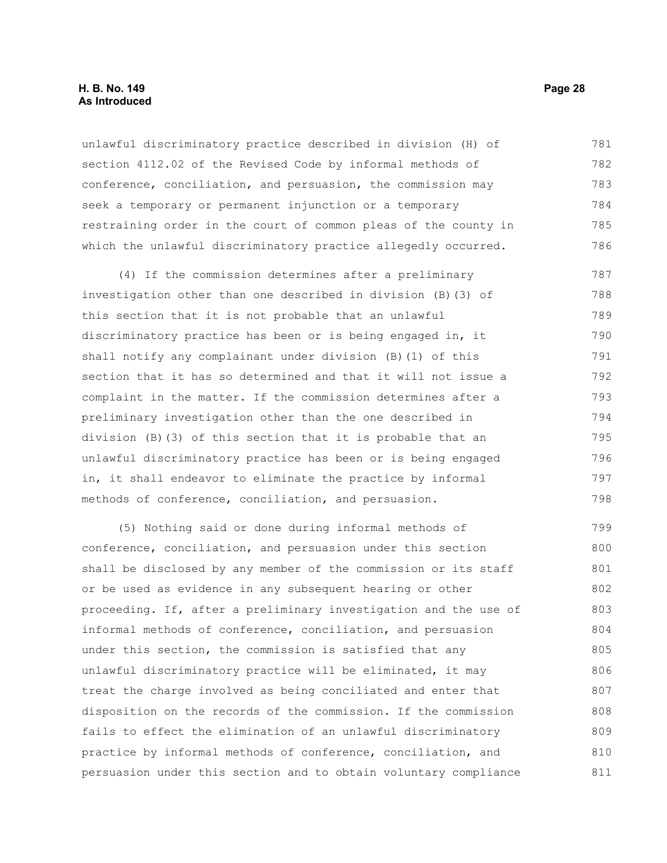#### **H. B. No. 149 Page 28 As Introduced**

unlawful discriminatory practice described in division (H) of section 4112.02 of the Revised Code by informal methods of conference, conciliation, and persuasion, the commission may seek a temporary or permanent injunction or a temporary restraining order in the court of common pleas of the county in which the unlawful discriminatory practice allegedly occurred. 781 782 783 784 785 786

(4) If the commission determines after a preliminary investigation other than one described in division (B)(3) of this section that it is not probable that an unlawful discriminatory practice has been or is being engaged in, it shall notify any complainant under division (B)(1) of this section that it has so determined and that it will not issue a complaint in the matter. If the commission determines after a preliminary investigation other than the one described in division (B)(3) of this section that it is probable that an unlawful discriminatory practice has been or is being engaged in, it shall endeavor to eliminate the practice by informal methods of conference, conciliation, and persuasion. 787 788 789 790 791 792 793 794 795 796 797 798

(5) Nothing said or done during informal methods of conference, conciliation, and persuasion under this section shall be disclosed by any member of the commission or its staff or be used as evidence in any subsequent hearing or other proceeding. If, after a preliminary investigation and the use of informal methods of conference, conciliation, and persuasion under this section, the commission is satisfied that any unlawful discriminatory practice will be eliminated, it may treat the charge involved as being conciliated and enter that disposition on the records of the commission. If the commission fails to effect the elimination of an unlawful discriminatory practice by informal methods of conference, conciliation, and persuasion under this section and to obtain voluntary compliance 799 800 801 802 803 804 805 806 807 808 809 810 811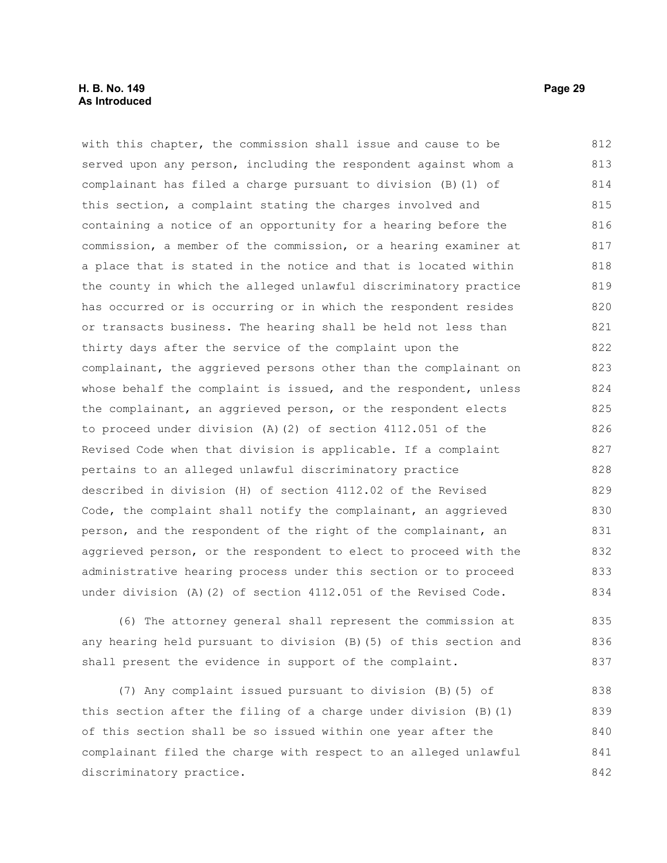#### **H. B. No. 149 Page 29 As Introduced**

with this chapter, the commission shall issue and cause to be served upon any person, including the respondent against whom a complainant has filed a charge pursuant to division (B)(1) of this section, a complaint stating the charges involved and containing a notice of an opportunity for a hearing before the commission, a member of the commission, or a hearing examiner at a place that is stated in the notice and that is located within the county in which the alleged unlawful discriminatory practice has occurred or is occurring or in which the respondent resides or transacts business. The hearing shall be held not less than thirty days after the service of the complaint upon the complainant, the aggrieved persons other than the complainant on whose behalf the complaint is issued, and the respondent, unless the complainant, an aggrieved person, or the respondent elects to proceed under division (A)(2) of section 4112.051 of the Revised Code when that division is applicable. If a complaint pertains to an alleged unlawful discriminatory practice described in division (H) of section 4112.02 of the Revised Code, the complaint shall notify the complainant, an aggrieved person, and the respondent of the right of the complainant, an aggrieved person, or the respondent to elect to proceed with the administrative hearing process under this section or to proceed under division (A)(2) of section 4112.051 of the Revised Code. 812 813 814 815 816 817 818 819 820 821 822 823 824 825 826 827 828 829 830 831 832 833 834

(6) The attorney general shall represent the commission at any hearing held pursuant to division (B)(5) of this section and shall present the evidence in support of the complaint. 835 836 837

(7) Any complaint issued pursuant to division (B)(5) of this section after the filing of a charge under division (B)(1) of this section shall be so issued within one year after the complainant filed the charge with respect to an alleged unlawful discriminatory practice. 838 839 840 841 842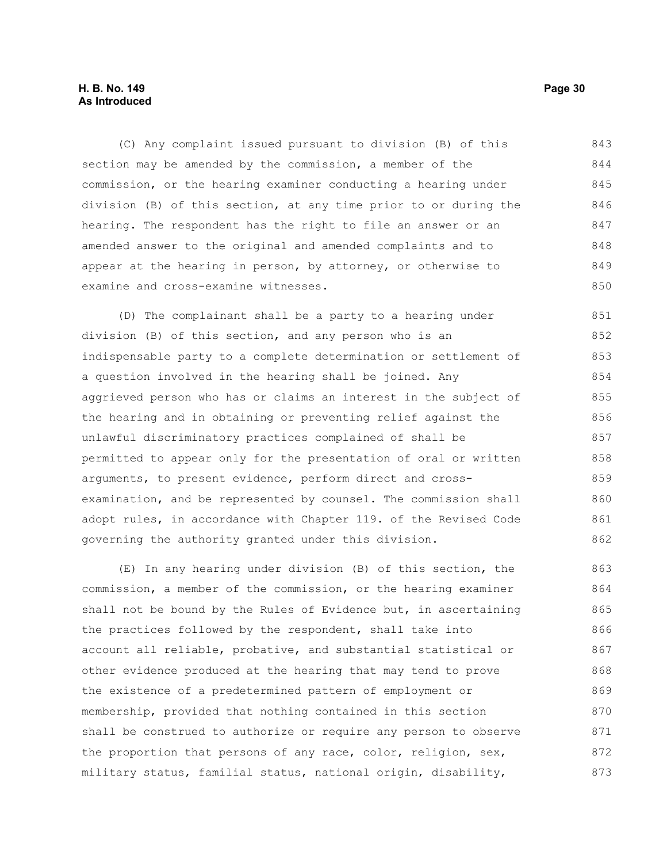#### **H. B. No. 149 Page 30 As Introduced**

(C) Any complaint issued pursuant to division (B) of this section may be amended by the commission, a member of the commission, or the hearing examiner conducting a hearing under division (B) of this section, at any time prior to or during the hearing. The respondent has the right to file an answer or an amended answer to the original and amended complaints and to appear at the hearing in person, by attorney, or otherwise to examine and cross-examine witnesses. 843 844 845 846 847 848 849 850

(D) The complainant shall be a party to a hearing under division (B) of this section, and any person who is an indispensable party to a complete determination or settlement of a question involved in the hearing shall be joined. Any aggrieved person who has or claims an interest in the subject of the hearing and in obtaining or preventing relief against the unlawful discriminatory practices complained of shall be permitted to appear only for the presentation of oral or written arguments, to present evidence, perform direct and crossexamination, and be represented by counsel. The commission shall adopt rules, in accordance with Chapter 119. of the Revised Code governing the authority granted under this division. 851 852 853 854 855 856 857 858 859 860 861 862

(E) In any hearing under division (B) of this section, the commission, a member of the commission, or the hearing examiner shall not be bound by the Rules of Evidence but, in ascertaining the practices followed by the respondent, shall take into account all reliable, probative, and substantial statistical or other evidence produced at the hearing that may tend to prove the existence of a predetermined pattern of employment or membership, provided that nothing contained in this section shall be construed to authorize or require any person to observe the proportion that persons of any race, color, religion, sex, military status, familial status, national origin, disability, 863 864 865 866 867 868 869 870 871 872 873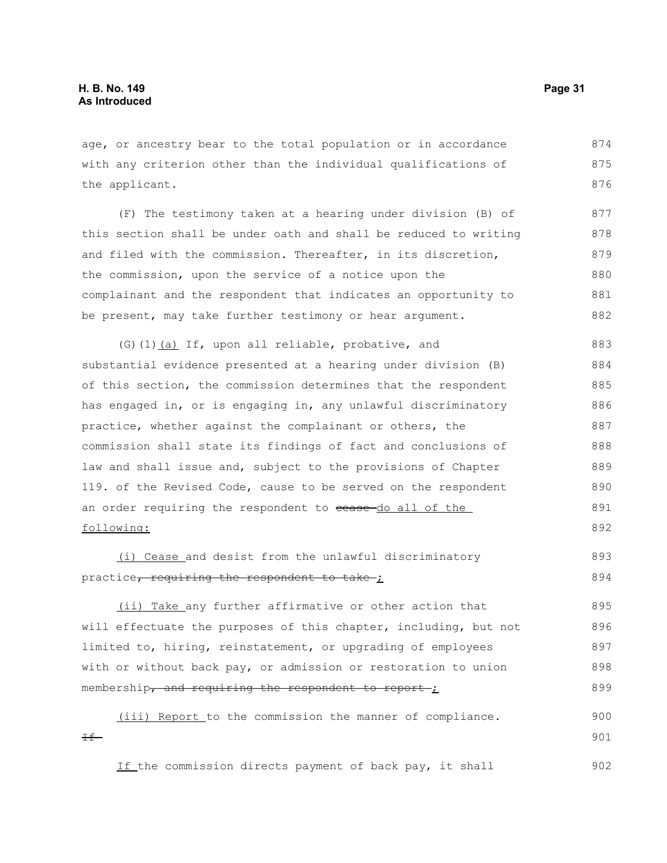age, or ancestry bear to the total population or in accordance with any criterion other than the individual qualifications of the applicant. 874 875 876

(F) The testimony taken at a hearing under division (B) of this section shall be under oath and shall be reduced to writing and filed with the commission. Thereafter, in its discretion, the commission, upon the service of a notice upon the complainant and the respondent that indicates an opportunity to be present, may take further testimony or hear argument. 877 878 879 880 881 882

(G)(1)(a) If, upon all reliable, probative, and substantial evidence presented at a hearing under division (B) of this section, the commission determines that the respondent has engaged in, or is engaging in, any unlawful discriminatory practice, whether against the complainant or others, the commission shall state its findings of fact and conclusions of law and shall issue and, subject to the provisions of Chapter 119. of the Revised Code, cause to be served on the respondent an order requiring the respondent to eease-do all of the following: 883 884 885 886 887 888 889 890 891 892

```
 (i) Cease and desist from the unlawful discriminatory
practice, requiring the respondent to take ;
                                                                            893
                                                                            894
```
 (ii) Take any further affirmative or other action that will effectuate the purposes of this chapter, including, but not limited to, hiring, reinstatement, or upgrading of employees with or without back pay, or admission or restoration to union membership, and requiring the respondent to report- $\dot{I}$ 895 896 897 898 899

 (iii) Report to the commission the manner of compliance.  $F^+$ 900 901

If the commission directs payment of back pay, it shall 902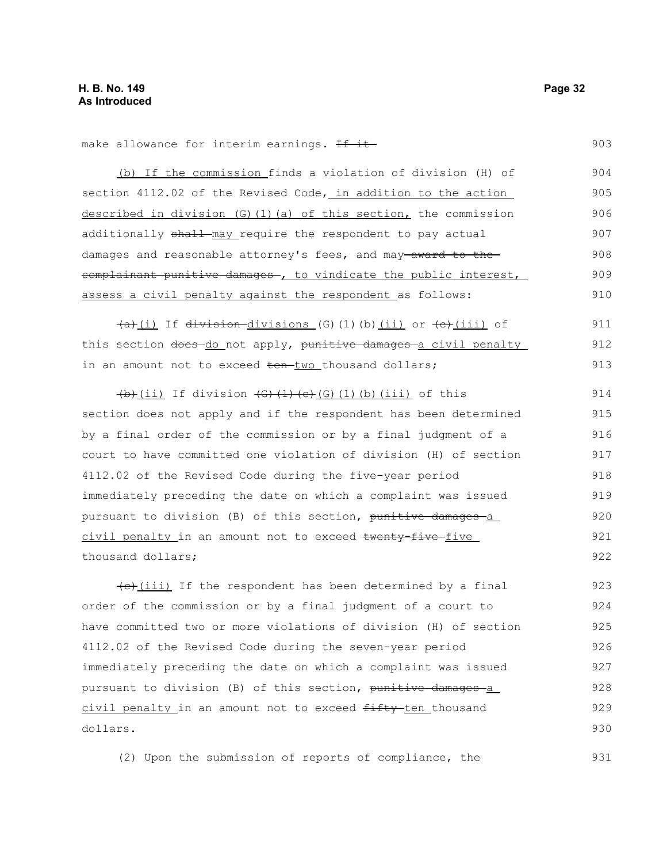931

| make allowance for interim earnings. If it                               | 903 |
|--------------------------------------------------------------------------|-----|
| (b) If the commission finds a violation of division (H) of               | 904 |
| section 4112.02 of the Revised Code, in addition to the action           | 905 |
| described in division (G) (1) (a) of this section, the commission        |     |
| additionally shall may require the respondent to pay actual              | 907 |
| damages and reasonable attorney's fees, and may-award to the             |     |
| eomplainant punitive damages , to vindicate the public interest,         | 909 |
| assess a civil penalty against the respondent as follows:                | 910 |
| $(a)$ (i) If $division-divisions(G)$ (l) (b) $(ii)$ or $(e)$ $(iii)$ of  | 911 |
| this section does do not apply, punitive damages a civil penalty         | 912 |
| in an amount not to exceed ten-two thousand dollars;                     | 913 |
| $\frac{1}{10}$ (ii) If division $\frac{1}{10}$ (d) (d) (d) (iii) of this | 914 |
| section does not apply and if the respondent has been determined         | 915 |
| by a final order of the commission or by a final judgment of a           | 916 |
| court to have committed one violation of division (H) of section         | 917 |
| 4112.02 of the Revised Code during the five-year period                  | 918 |
| immediately preceding the date on which a complaint was issued           | 919 |
| pursuant to division (B) of this section, punitive damages a             | 920 |
| civil penalty in an amount not to exceed twenty-five-five                | 921 |
| thousand dollars;                                                        | 922 |
| (e) (iii) If the respondent has been determined by a final               | 923 |
| order of the commission or by a final judgment of a court to             | 924 |
| have committed two or more violations of division (H) of section         | 925 |
| 4112.02 of the Revised Code during the seven-year period                 | 926 |
| immediately preceding the date on which a complaint was issued           | 927 |
| pursuant to division (B) of this section, punitive damages a             | 928 |
| civil penalty in an amount not to exceed fifty ten thousand              | 929 |
| dollars.                                                                 | 930 |

(2) Upon the submission of reports of compliance, the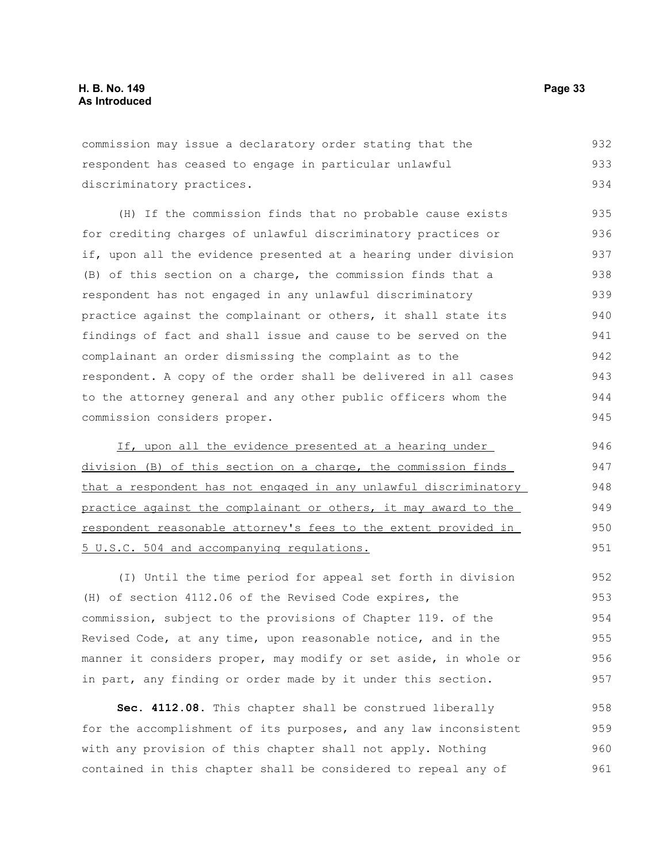commission may issue a declaratory order stating that the respondent has ceased to engage in particular unlawful discriminatory practices. 932 933 934

(H) If the commission finds that no probable cause exists for crediting charges of unlawful discriminatory practices or if, upon all the evidence presented at a hearing under division (B) of this section on a charge, the commission finds that a respondent has not engaged in any unlawful discriminatory practice against the complainant or others, it shall state its findings of fact and shall issue and cause to be served on the complainant an order dismissing the complaint as to the respondent. A copy of the order shall be delivered in all cases to the attorney general and any other public officers whom the commission considers proper. 935 936 937 938 939 940 941 942 943 944 945

If, upon all the evidence presented at a hearing under division (B) of this section on a charge, the commission finds that a respondent has not engaged in any unlawful discriminatory practice against the complainant or others, it may award to the respondent reasonable attorney's fees to the extent provided in 5 U.S.C. 504 and accompanying regulations.

(I) Until the time period for appeal set forth in division (H) of section 4112.06 of the Revised Code expires, the commission, subject to the provisions of Chapter 119. of the Revised Code, at any time, upon reasonable notice, and in the manner it considers proper, may modify or set aside, in whole or in part, any finding or order made by it under this section. 952 953 954 955 956 957

**Sec. 4112.08.** This chapter shall be construed liberally for the accomplishment of its purposes, and any law inconsistent with any provision of this chapter shall not apply. Nothing contained in this chapter shall be considered to repeal any of 958 959 960 961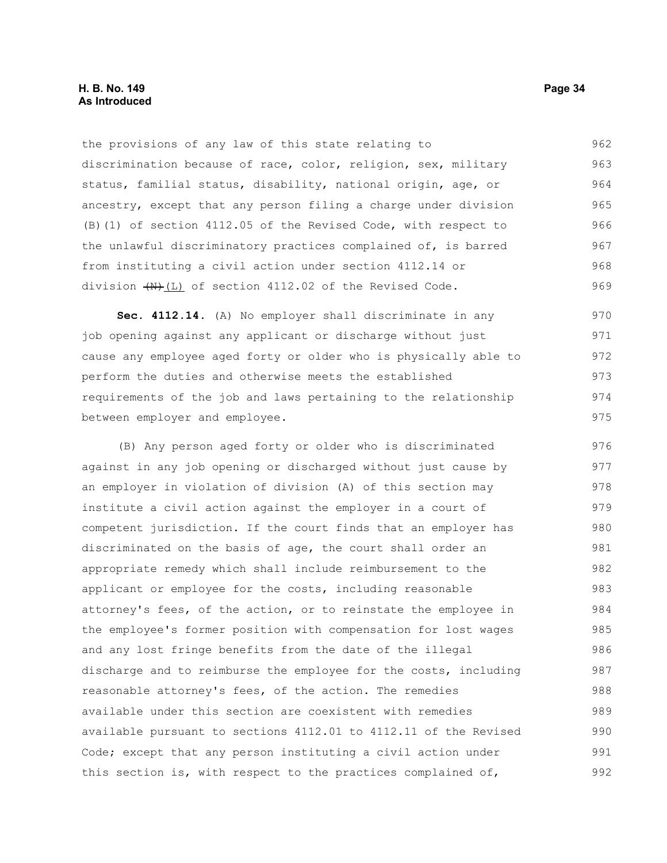the provisions of any law of this state relating to discrimination because of race, color, religion, sex, military status, familial status, disability, national origin, age, or ancestry, except that any person filing a charge under division (B)(1) of section 4112.05 of the Revised Code, with respect to the unlawful discriminatory practices complained of, is barred from instituting a civil action under section 4112.14 or division  $(W)$ (L) of section 4112.02 of the Revised Code. 962 963 964 965 966 967 968 969

**Sec. 4112.14.** (A) No employer shall discriminate in any job opening against any applicant or discharge without just cause any employee aged forty or older who is physically able to perform the duties and otherwise meets the established requirements of the job and laws pertaining to the relationship between employer and employee. 970 971 972 973 974 975

(B) Any person aged forty or older who is discriminated against in any job opening or discharged without just cause by an employer in violation of division (A) of this section may institute a civil action against the employer in a court of competent jurisdiction. If the court finds that an employer has discriminated on the basis of age, the court shall order an appropriate remedy which shall include reimbursement to the applicant or employee for the costs, including reasonable attorney's fees, of the action, or to reinstate the employee in the employee's former position with compensation for lost wages and any lost fringe benefits from the date of the illegal discharge and to reimburse the employee for the costs, including reasonable attorney's fees, of the action. The remedies available under this section are coexistent with remedies available pursuant to sections 4112.01 to 4112.11 of the Revised Code; except that any person instituting a civil action under this section is, with respect to the practices complained of, 976 977 978 979 980 981 982 983 984 985 986 987 988 989 990 991 992